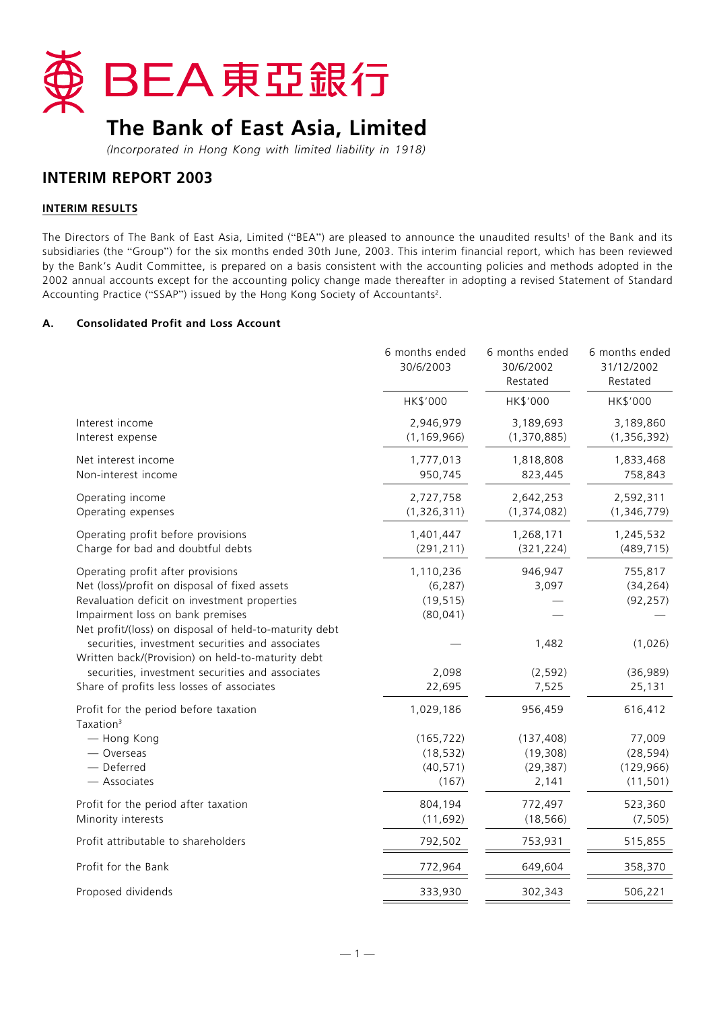

# **The Bank of East Asia, Limited**

*(Incorporated in Hong Kong with limited liability in 1918)*

# **INTERIM REPORT 2003**

# **INTERIM RESULTS**

The Directors of The Bank of East Asia, Limited ("BEA") are pleased to announce the unaudited results<sup>1</sup> of the Bank and its subsidiaries (the "Group") for the six months ended 30th June, 2003. This interim financial report, which has been reviewed by the Bank's Audit Committee, is prepared on a basis consistent with the accounting policies and methods adopted in the 2002 annual accounts except for the accounting policy change made thereafter in adopting a revised Statement of Standard Accounting Practice ("SSAP") issued by the Hong Kong Society of Accountants2.

## **A. Consolidated Profit and Loss Account**

|                                                                                                                                                                                                                                  | 6 months ended<br>30/6/2003                     | 6 months ended<br>30/6/2002<br>Restated       | 6 months ended<br>31/12/2002<br>Restated       |
|----------------------------------------------------------------------------------------------------------------------------------------------------------------------------------------------------------------------------------|-------------------------------------------------|-----------------------------------------------|------------------------------------------------|
|                                                                                                                                                                                                                                  | HK\$'000                                        | HK\$'000                                      | HK\$'000                                       |
| Interest income<br>Interest expense                                                                                                                                                                                              | 2,946,979<br>(1, 169, 966)                      | 3,189,693<br>(1, 370, 885)                    | 3,189,860<br>(1, 356, 392)                     |
| Net interest income<br>Non-interest income                                                                                                                                                                                       | 1,777,013<br>950,745                            | 1,818,808<br>823,445                          | 1,833,468<br>758,843                           |
| Operating income<br>Operating expenses                                                                                                                                                                                           | 2,727,758<br>(1,326,311)                        | 2,642,253<br>(1, 374, 082)                    | 2,592,311<br>(1,346,779)                       |
| Operating profit before provisions<br>Charge for bad and doubtful debts                                                                                                                                                          | 1,401,447<br>(291, 211)                         | 1,268,171<br>(321, 224)                       | 1,245,532<br>(489, 715)                        |
| Operating profit after provisions<br>Net (loss)/profit on disposal of fixed assets<br>Revaluation deficit on investment properties<br>Impairment loss on bank premises<br>Net profit/(loss) on disposal of held-to-maturity debt | 1,110,236<br>(6, 287)<br>(19, 515)<br>(80, 041) | 946,947<br>3,097                              | 755,817<br>(34, 264)<br>(92, 257)              |
| securities, investment securities and associates<br>Written back/(Provision) on held-to-maturity debt<br>securities, investment securities and associates<br>Share of profits less losses of associates                          | 2,098<br>22,695                                 | 1,482<br>(2, 592)<br>7,525                    | (1,026)<br>(36, 989)<br>25,131                 |
| Profit for the period before taxation<br>Taxation <sup>3</sup>                                                                                                                                                                   | 1,029,186                                       | 956,459                                       | 616,412                                        |
| - Hong Kong<br>— Overseas<br>- Deferred<br>- Associates                                                                                                                                                                          | (165, 722)<br>(18, 532)<br>(40, 571)<br>(167)   | (137, 408)<br>(19, 308)<br>(29, 387)<br>2,141 | 77,009<br>(28, 594)<br>(129, 966)<br>(11, 501) |
| Profit for the period after taxation<br>Minority interests                                                                                                                                                                       | 804,194<br>(11, 692)                            | 772,497<br>(18, 566)                          | 523,360<br>(7, 505)                            |
| Profit attributable to shareholders                                                                                                                                                                                              | 792,502                                         | 753,931                                       | 515,855                                        |
| Profit for the Bank                                                                                                                                                                                                              | 772,964                                         | 649,604                                       | 358,370                                        |
| Proposed dividends                                                                                                                                                                                                               | 333,930                                         | 302,343                                       | 506,221                                        |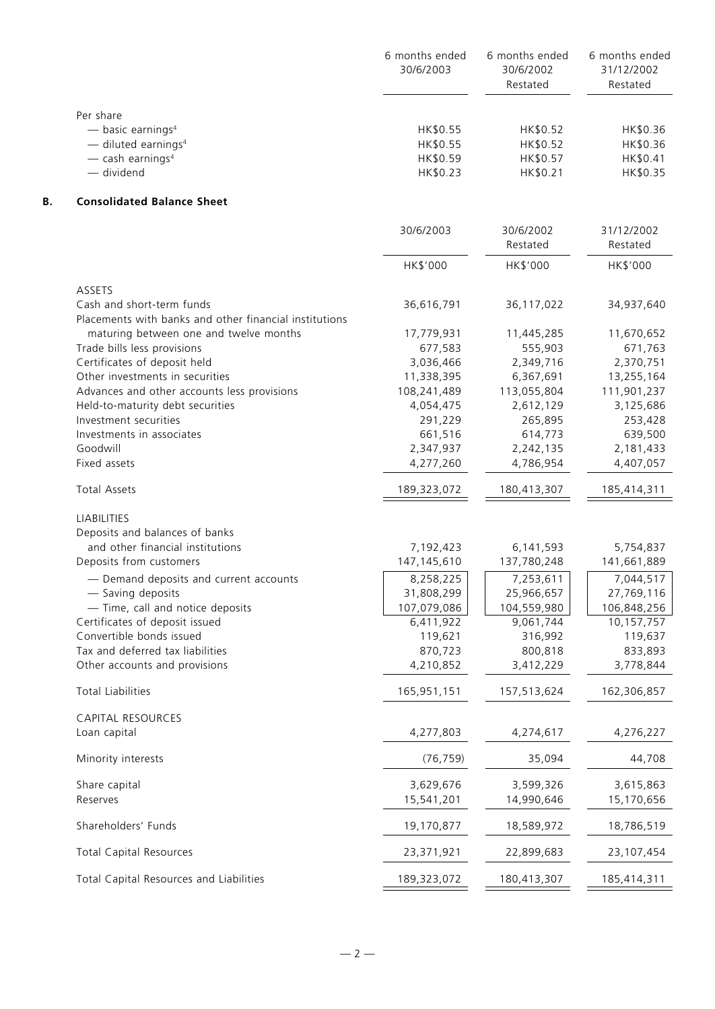|    |                                                                                                                                   | 6 months ended<br>30/6/2003                  | 6 months ended<br>30/6/2002<br>Restated      | 6 months ended<br>31/12/2002<br>Restated     |
|----|-----------------------------------------------------------------------------------------------------------------------------------|----------------------------------------------|----------------------------------------------|----------------------------------------------|
|    | Per share<br>$-$ basic earnings <sup>4</sup><br>$-$ diluted earnings <sup>4</sup><br>$-$ cash earnings <sup>4</sup><br>- dividend | HK\$0.55<br>HK\$0.55<br>HK\$0.59<br>HK\$0.23 | HK\$0.52<br>HK\$0.52<br>HK\$0.57<br>HK\$0.21 | HK\$0.36<br>HK\$0.36<br>HK\$0.41<br>HK\$0.35 |
| Β. | <b>Consolidated Balance Sheet</b>                                                                                                 |                                              |                                              |                                              |
|    |                                                                                                                                   | 30/6/2003                                    | 30/6/2002<br>Restated                        | 31/12/2002<br>Restated                       |
|    |                                                                                                                                   | HK\$'000                                     | HK\$'000                                     | HK\$'000                                     |
|    | ASSETS                                                                                                                            |                                              |                                              |                                              |
|    | Cash and short-term funds<br>Placements with banks and other financial institutions                                               | 36,616,791                                   | 36, 117, 022                                 | 34,937,640                                   |
|    | maturing between one and twelve months                                                                                            | 17,779,931                                   | 11,445,285                                   | 11,670,652                                   |
|    | Trade bills less provisions                                                                                                       | 677,583                                      | 555,903                                      | 671,763                                      |
|    | Certificates of deposit held                                                                                                      | 3,036,466                                    | 2,349,716                                    | 2,370,751                                    |
|    | Other investments in securities                                                                                                   | 11,338,395                                   | 6,367,691                                    | 13,255,164                                   |
|    | Advances and other accounts less provisions                                                                                       | 108,241,489                                  | 113,055,804                                  | 111,901,237                                  |
|    | Held-to-maturity debt securities<br>Investment securities                                                                         | 4,054,475<br>291,229                         | 2,612,129<br>265,895                         | 3,125,686                                    |
|    | Investments in associates                                                                                                         | 661,516                                      | 614,773                                      | 253,428                                      |
|    | Goodwill                                                                                                                          | 2,347,937                                    | 2,242,135                                    | 639,500<br>2,181,433                         |
|    | Fixed assets                                                                                                                      | 4,277,260                                    | 4,786,954                                    | 4,407,057                                    |
|    | <b>Total Assets</b>                                                                                                               | 189,323,072                                  | 180,413,307                                  | 185,414,311                                  |
|    | <b>LIABILITIES</b>                                                                                                                |                                              |                                              |                                              |
|    | Deposits and balances of banks                                                                                                    |                                              |                                              |                                              |
|    | and other financial institutions                                                                                                  | 7,192,423                                    | 6,141,593                                    | 5,754,837                                    |
|    | Deposits from customers                                                                                                           | 147, 145, 610                                | 137,780,248                                  | 141,661,889                                  |
|    | - Demand deposits and current accounts                                                                                            | 8,258,225                                    | 7,253,611                                    | 7,044,517                                    |
|    | - Saving deposits                                                                                                                 | 31,808,299                                   | 25,966,657                                   | 27,769,116                                   |
|    | - Time, call and notice deposits                                                                                                  | 107,079,086                                  | 104,559,980                                  | 106,848,256                                  |
|    | Certificates of deposit issued                                                                                                    | 6,411,922                                    | 9,061,744                                    | 10,157,757                                   |
|    | Convertible bonds issued                                                                                                          | 119,621                                      | 316,992                                      | 119,637                                      |
|    | Tax and deferred tax liabilities                                                                                                  | 870,723                                      | 800,818                                      | 833,893                                      |
|    | Other accounts and provisions                                                                                                     | 4,210,852                                    | 3,412,229                                    | 3,778,844                                    |
|    | <b>Total Liabilities</b>                                                                                                          | 165,951,151                                  | 157,513,624                                  | 162,306,857                                  |
|    | CAPITAL RESOURCES                                                                                                                 |                                              |                                              |                                              |
|    | Loan capital                                                                                                                      | 4,277,803                                    | 4,274,617                                    | 4,276,227                                    |
|    | Minority interests                                                                                                                | (76, 759)                                    | 35,094                                       | 44,708                                       |
|    | Share capital                                                                                                                     | 3,629,676                                    | 3,599,326                                    | 3,615,863                                    |
|    | Reserves                                                                                                                          | 15,541,201                                   | 14,990,646                                   | 15,170,656                                   |
|    | Shareholders' Funds                                                                                                               | 19,170,877                                   | 18,589,972                                   | 18,786,519                                   |
|    | <b>Total Capital Resources</b>                                                                                                    | 23,371,921                                   | 22,899,683                                   | 23, 107, 454                                 |
|    | Total Capital Resources and Liabilities                                                                                           | 189,323,072                                  | 180,413,307                                  | 185,414,311                                  |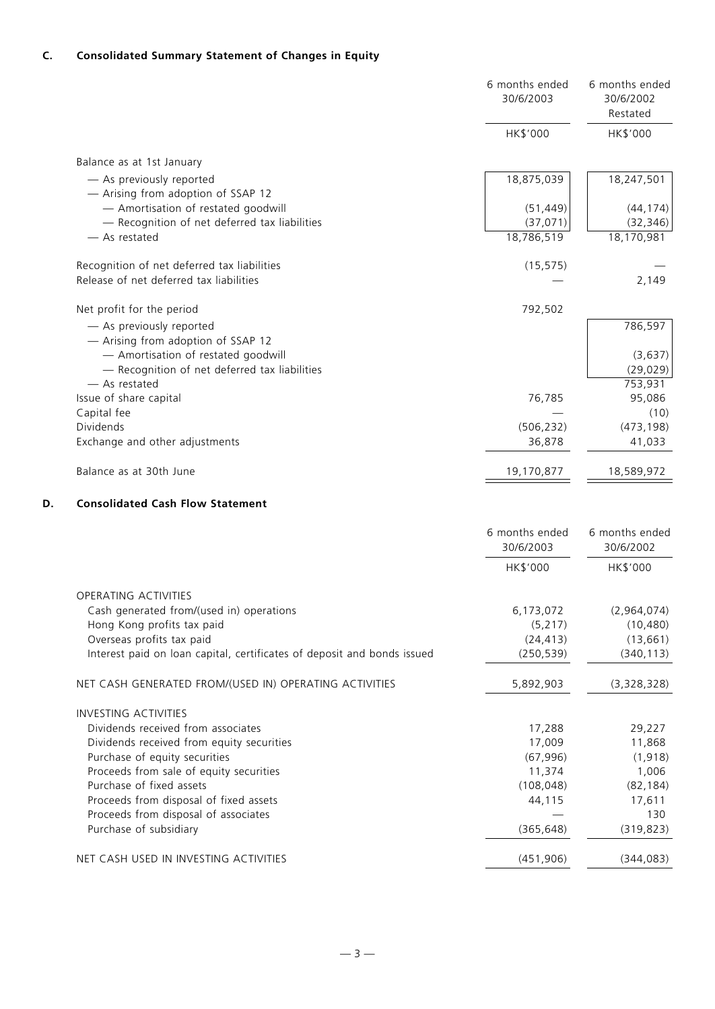|    |                                                                                      | 6 months ended<br>30/6/2003 | 6 months ended<br>30/6/2002<br>Restated |
|----|--------------------------------------------------------------------------------------|-----------------------------|-----------------------------------------|
|    |                                                                                      | HK\$'000                    | HK\$'000                                |
|    | Balance as at 1st January                                                            |                             |                                         |
|    | - As previously reported<br>- Arising from adoption of SSAP 12                       | 18,875,039                  | 18,247,501                              |
|    | - Amortisation of restated goodwill                                                  | (51, 449)                   | (44, 174)                               |
|    | - Recognition of net deferred tax liabilities                                        | (37, 071)                   | (32, 346)                               |
|    | - As restated                                                                        | 18,786,519                  | 18,170,981                              |
|    | Recognition of net deferred tax liabilities                                          | (15, 575)                   |                                         |
|    | Release of net deferred tax liabilities                                              |                             | 2,149                                   |
|    | Net profit for the period                                                            | 792,502                     |                                         |
|    | - As previously reported<br>- Arising from adoption of SSAP 12                       |                             | 786,597                                 |
|    | - Amortisation of restated goodwill<br>- Recognition of net deferred tax liabilities |                             | (3,637)<br>(29, 029)                    |
|    | - As restated                                                                        |                             | 753,931                                 |
|    | Issue of share capital                                                               | 76,785                      | 95,086                                  |
|    | Capital fee                                                                          |                             | (10)                                    |
|    | Dividends                                                                            | (506, 232)                  | (473, 198)                              |
|    | Exchange and other adjustments                                                       | 36,878                      | 41,033                                  |
|    | Balance as at 30th June                                                              | 19,170,877                  | 18,589,972                              |
| D. | <b>Consolidated Cash Flow Statement</b>                                              |                             |                                         |
|    |                                                                                      | 6 months ended<br>30/6/2003 | 6 months ended<br>30/6/2002             |
|    |                                                                                      | HK\$'000                    | HK\$'000                                |
|    | OPERATING ACTIVITIES                                                                 |                             |                                         |
|    | Cash generated from/(used in) operations                                             | 6,173,072                   | (2,964,074)                             |
|    | Hong Kong profits tax paid                                                           | (5, 217)                    | (10, 480)                               |
|    | Overseas profits tax paid                                                            | (24, 413)                   | (13,661)                                |
|    | Interest paid on loan capital, certificates of deposit and bonds issued              | (250, 539)                  | (340, 113)                              |

NET CASH GENERATED FROM/(USED IN) OPERATING ACTIVITIES 1998 1998 1998 1998 (3,328,328)

| <b>INVESTING ACTIVITIES</b>               |            |            |
|-------------------------------------------|------------|------------|
| Dividends received from associates        | 17.288     | 29,227     |
| Dividends received from equity securities | 17.009     | 11,868     |
| Purchase of equity securities             | (67, 996)  | (1,918)    |
| Proceeds from sale of equity securities   | 11.374     | 1,006      |
| Purchase of fixed assets                  | (108, 048) | (82, 184)  |
| Proceeds from disposal of fixed assets    | 44,115     | 17,611     |
| Proceeds from disposal of associates      |            | 130        |
| Purchase of subsidiary                    | (365,648)  | (319, 823) |
| NET CASH USED IN INVESTING ACTIVITIES     | (451,906)  | (344,083)  |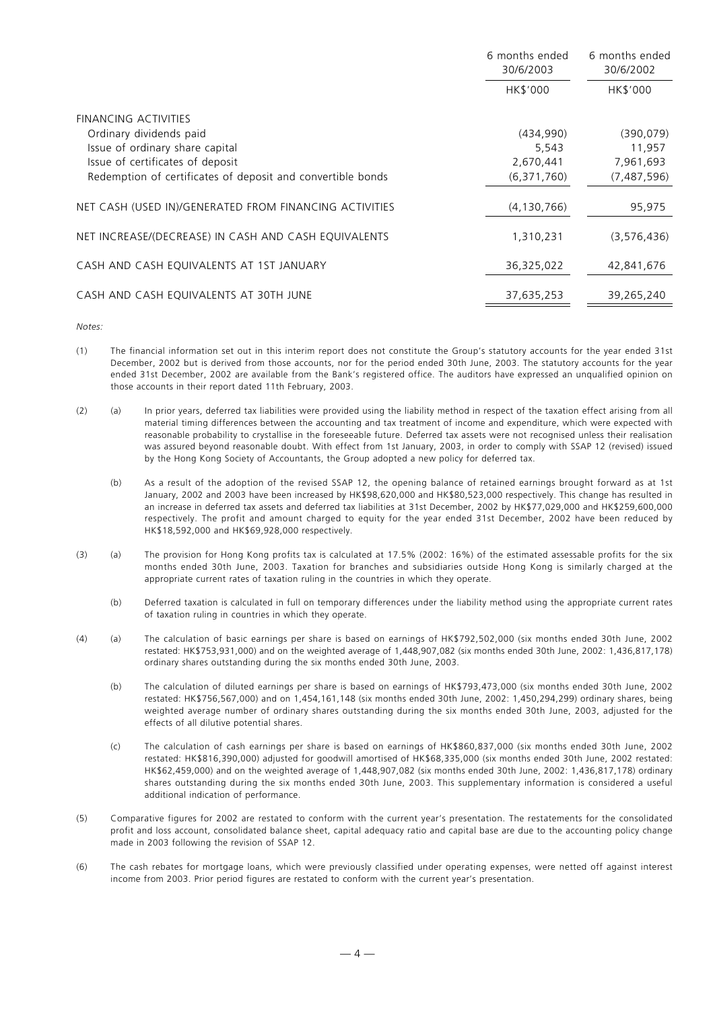|                                                             | 6 months ended<br>30/6/2003 | 6 months ended<br>30/6/2002 |  |
|-------------------------------------------------------------|-----------------------------|-----------------------------|--|
|                                                             | HK\$'000                    | HK\$'000                    |  |
| <b>FINANCING ACTIVITIES</b>                                 |                             |                             |  |
| Ordinary dividends paid                                     | (434,990)                   | (390, 079)                  |  |
| Issue of ordinary share capital                             | 5,543                       | 11,957                      |  |
| Issue of certificates of deposit                            | 2,670,441                   | 7,961,693                   |  |
| Redemption of certificates of deposit and convertible bonds | (6,371,760)                 | (7,487,596)                 |  |
| NET CASH (USED IN)/GENERATED FROM FINANCING ACTIVITIES      | (4, 130, 766)               | 95,975                      |  |
| NET INCREASE/(DECREASE) IN CASH AND CASH EQUIVALENTS        | 1,310,231                   | (3, 576, 436)               |  |
| CASH AND CASH EQUIVALENTS AT 1ST JANUARY                    | 36,325,022                  | 42,841,676                  |  |
| CASH AND CASH EQUIVALENTS AT 30TH JUNE                      | 37,635,253                  | 39,265,240                  |  |

#### *Notes:*

- (1) The financial information set out in this interim report does not constitute the Group's statutory accounts for the year ended 31st December, 2002 but is derived from those accounts, nor for the period ended 30th June, 2003. The statutory accounts for the year ended 31st December, 2002 are available from the Bank's registered office. The auditors have expressed an unqualified opinion on those accounts in their report dated 11th February, 2003.
- (2) (a) In prior years, deferred tax liabilities were provided using the liability method in respect of the taxation effect arising from all material timing differences between the accounting and tax treatment of income and expenditure, which were expected with reasonable probability to crystallise in the foreseeable future. Deferred tax assets were not recognised unless their realisation was assured beyond reasonable doubt. With effect from 1st January, 2003, in order to comply with SSAP 12 (revised) issued by the Hong Kong Society of Accountants, the Group adopted a new policy for deferred tax.
	- (b) As a result of the adoption of the revised SSAP 12, the opening balance of retained earnings brought forward as at 1st January, 2002 and 2003 have been increased by HK\$98,620,000 and HK\$80,523,000 respectively. This change has resulted in an increase in deferred tax assets and deferred tax liabilities at 31st December, 2002 by HK\$77,029,000 and HK\$259,600,000 respectively. The profit and amount charged to equity for the year ended 31st December, 2002 have been reduced by HK\$18,592,000 and HK\$69,928,000 respectively.
- (3) (a) The provision for Hong Kong profits tax is calculated at 17.5% (2002: 16%) of the estimated assessable profits for the six months ended 30th June, 2003. Taxation for branches and subsidiaries outside Hong Kong is similarly charged at the appropriate current rates of taxation ruling in the countries in which they operate.
	- (b) Deferred taxation is calculated in full on temporary differences under the liability method using the appropriate current rates of taxation ruling in countries in which they operate.
- (4) (a) The calculation of basic earnings per share is based on earnings of HK\$792,502,000 (six months ended 30th June, 2002 restated: HK\$753,931,000) and on the weighted average of 1,448,907,082 (six months ended 30th June, 2002: 1,436,817,178) ordinary shares outstanding during the six months ended 30th June, 2003.
	- (b) The calculation of diluted earnings per share is based on earnings of HK\$793,473,000 (six months ended 30th June, 2002 restated: HK\$756,567,000) and on 1,454,161,148 (six months ended 30th June, 2002: 1,450,294,299) ordinary shares, being weighted average number of ordinary shares outstanding during the six months ended 30th June, 2003, adjusted for the effects of all dilutive potential shares.
	- (c) The calculation of cash earnings per share is based on earnings of HK\$860,837,000 (six months ended 30th June, 2002 restated: HK\$816,390,000) adjusted for goodwill amortised of HK\$68,335,000 (six months ended 30th June, 2002 restated: HK\$62,459,000) and on the weighted average of 1,448,907,082 (six months ended 30th June, 2002: 1,436,817,178) ordinary shares outstanding during the six months ended 30th June, 2003. This supplementary information is considered a useful additional indication of performance.
- (5) Comparative figures for 2002 are restated to conform with the current year's presentation. The restatements for the consolidated profit and loss account, consolidated balance sheet, capital adequacy ratio and capital base are due to the accounting policy change made in 2003 following the revision of SSAP 12.
- (6) The cash rebates for mortgage loans, which were previously classified under operating expenses, were netted off against interest income from 2003. Prior period figures are restated to conform with the current year's presentation.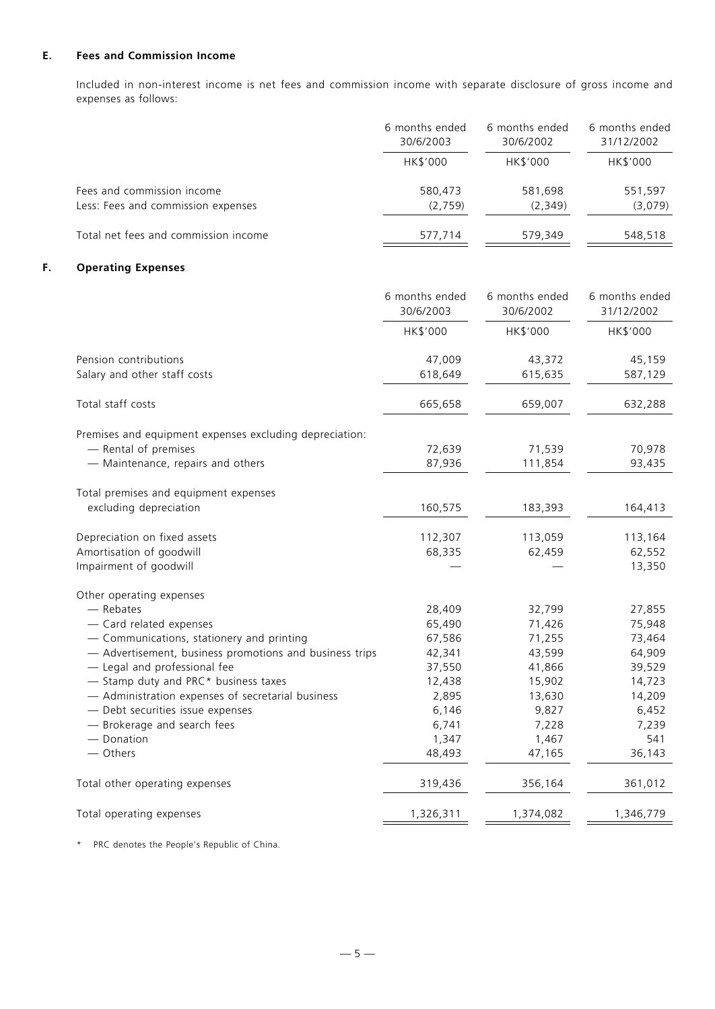# **E. Fees and Commission Income**

Included in non-interest income is net fees and commission income with separate disclosure of gross income and expenses as follows:

|                                      | 6 months ended | 6 months ended | 6 months ended |  |
|--------------------------------------|----------------|----------------|----------------|--|
|                                      | 30/6/2003      | 30/6/2002      | 31/12/2002     |  |
|                                      | HK\$'000       | HK\$'000       | HK\$'000       |  |
| Fees and commission income           | 580,473        | 581,698        | 551,597        |  |
| Less: Fees and commission expenses   | (2,759)        | (2,349)        | (3,079)        |  |
| Total net fees and commission income | 577,714        | 579,349        | 548,518        |  |

# **F. Operating Expenses**

|                                                         | 6 months ended<br>30/6/2003 | 6 months ended<br>30/6/2002 | 6 months ended<br>31/12/2002 |
|---------------------------------------------------------|-----------------------------|-----------------------------|------------------------------|
|                                                         | HK\$'000                    | HK\$'000                    | HK\$'000                     |
| Pension contributions<br>Salary and other staff costs   | 47,009<br>618,649           | 43,372<br>615,635           | 45,159<br>587,129            |
|                                                         |                             |                             |                              |
| Total staff costs                                       | 665,658                     | 659,007                     | 632,288                      |
| Premises and equipment expenses excluding depreciation: |                             |                             |                              |
| - Rental of premises                                    | 72,639                      | 71,539                      | 70,978                       |
| - Maintenance, repairs and others                       | 87,936                      | 111,854                     | 93,435                       |
| Total premises and equipment expenses                   |                             |                             |                              |
| excluding depreciation                                  | 160,575                     | 183,393                     | 164,413                      |
| Depreciation on fixed assets                            | 112,307                     | 113,059                     | 113,164                      |
| Amortisation of goodwill                                | 68,335                      | 62,459                      | 62,552                       |
| Impairment of goodwill                                  |                             |                             | 13,350                       |
| Other operating expenses                                |                             |                             |                              |
| - Rebates                                               | 28,409                      | 32,799                      | 27,855                       |
| - Card related expenses                                 | 65,490                      | 71,426                      | 75,948                       |
| - Communications, stationery and printing               | 67,586                      | 71,255                      | 73,464                       |
| - Advertisement, business promotions and business trips | 42,341                      | 43,599                      | 64,909                       |
| - Legal and professional fee                            | 37,550                      | 41,866                      | 39,529                       |
| - Stamp duty and PRC* business taxes                    | 12,438                      | 15,902                      | 14,723                       |
| - Administration expenses of secretarial business       | 2,895                       | 13,630                      | 14,209                       |
| - Debt securities issue expenses                        | 6,146                       | 9,827                       | 6,452                        |
| - Brokerage and search fees                             | 6,741                       | 7,228                       | 7,239                        |
| - Donation                                              | 1,347                       | 1,467                       | 541                          |
| - Others                                                | 48,493                      | 47,165                      | 36,143                       |
| Total other operating expenses                          | 319,436                     | 356,164                     | 361,012                      |
| Total operating expenses                                | 1,326,311                   | 1,374,082                   | 1,346,779                    |

\* PRC denotes the People's Republic of China.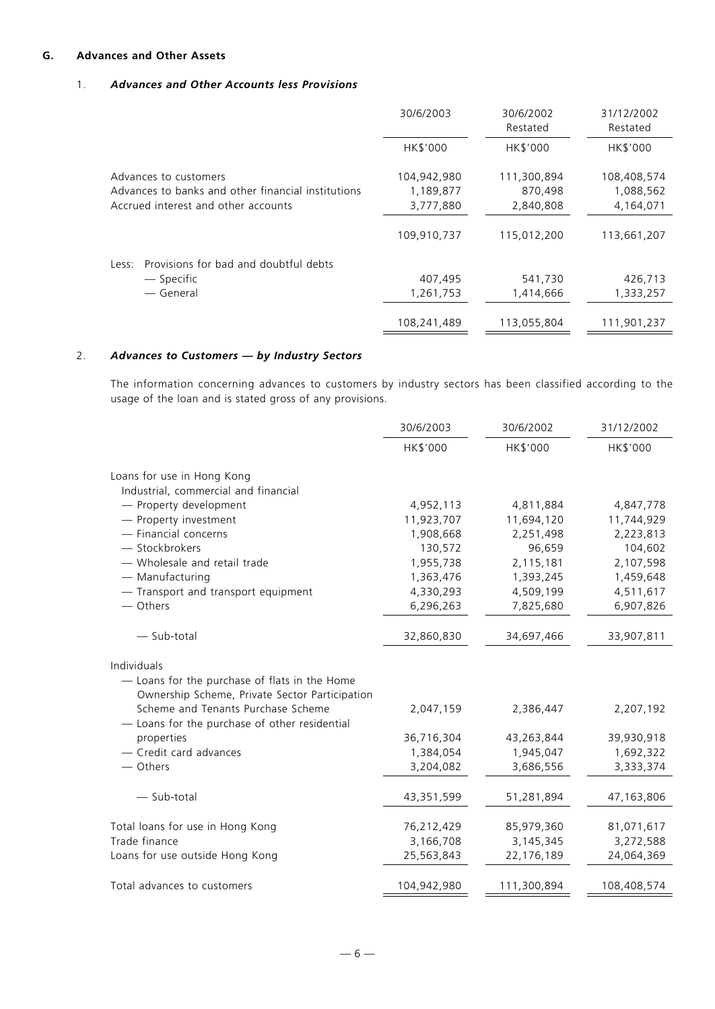# **G. Advances and Other Assets**

# 1. *Advances and Other Accounts less Provisions*

|                                                                             | 30/6/2003                | 30/6/2002<br>Restated  | 31/12/2002<br>Restated   |  |
|-----------------------------------------------------------------------------|--------------------------|------------------------|--------------------------|--|
|                                                                             | HK\$'000                 | <b>HK\$'000</b>        | HK\$'000                 |  |
| Advances to customers<br>Advances to banks and other financial institutions | 104,942,980<br>1,189,877 | 111,300,894<br>870,498 | 108,408,574<br>1,088,562 |  |
| Accrued interest and other accounts                                         | 3,777,880                | 2,840,808              | 4,164,071                |  |
|                                                                             | 109,910,737              | 115,012,200            | 113,661,207              |  |
| Provisions for bad and doubtful debts<br>Less:                              |                          |                        |                          |  |
| — Specific                                                                  | 407,495                  | 541,730                | 426,713                  |  |
| — General                                                                   | 1,261,753                | 1,414,666              | 1,333,257                |  |
|                                                                             | 108,241,489              | 113,055,804            | 111,901,237              |  |

# 2. *Advances to Customers — by Industry Sectors*

The information concerning advances to customers by industry sectors has been classified according to the usage of the loan and is stated gross of any provisions.

|                                                                                                 | 30/6/2003   | 30/6/2002   | 31/12/2002  |  |
|-------------------------------------------------------------------------------------------------|-------------|-------------|-------------|--|
|                                                                                                 | HK\$'000    | HK\$'000    | HK\$'000    |  |
| Loans for use in Hong Kong                                                                      |             |             |             |  |
| Industrial, commercial and financial                                                            |             |             |             |  |
| - Property development                                                                          | 4,952,113   | 4,811,884   | 4,847,778   |  |
| - Property investment                                                                           | 11,923,707  | 11,694,120  | 11,744,929  |  |
| - Financial concerns                                                                            | 1,908,668   | 2,251,498   | 2,223,813   |  |
| - Stockbrokers                                                                                  | 130,572     | 96,659      | 104,602     |  |
| - Wholesale and retail trade                                                                    | 1,955,738   | 2,115,181   | 2,107,598   |  |
| - Manufacturing                                                                                 | 1,363,476   | 1,393,245   | 1,459,648   |  |
| - Transport and transport equipment                                                             | 4,330,293   | 4,509,199   | 4,511,617   |  |
| - Others                                                                                        | 6,296,263   | 7,825,680   | 6,907,826   |  |
| $-$ Sub-total                                                                                   | 32,860,830  | 34,697,466  | 33,907,811  |  |
| Individuals                                                                                     |             |             |             |  |
| - Loans for the purchase of flats in the Home<br>Ownership Scheme, Private Sector Participation |             |             |             |  |
| Scheme and Tenants Purchase Scheme<br>- Loans for the purchase of other residential             | 2,047,159   | 2,386,447   | 2,207,192   |  |
| properties                                                                                      | 36,716,304  | 43,263,844  | 39,930,918  |  |
| - Credit card advances                                                                          | 1,384,054   | 1,945,047   | 1,692,322   |  |
| — Others                                                                                        | 3,204,082   | 3,686,556   | 3,333,374   |  |
| - Sub-total                                                                                     | 43,351,599  | 51,281,894  | 47,163,806  |  |
| Total loans for use in Hong Kong                                                                | 76,212,429  | 85,979,360  | 81,071,617  |  |
| Trade finance                                                                                   | 3,166,708   | 3,145,345   | 3,272,588   |  |
| Loans for use outside Hong Kong                                                                 | 25,563,843  | 22,176,189  | 24,064,369  |  |
| Total advances to customers                                                                     | 104,942,980 | 111,300,894 | 108,408,574 |  |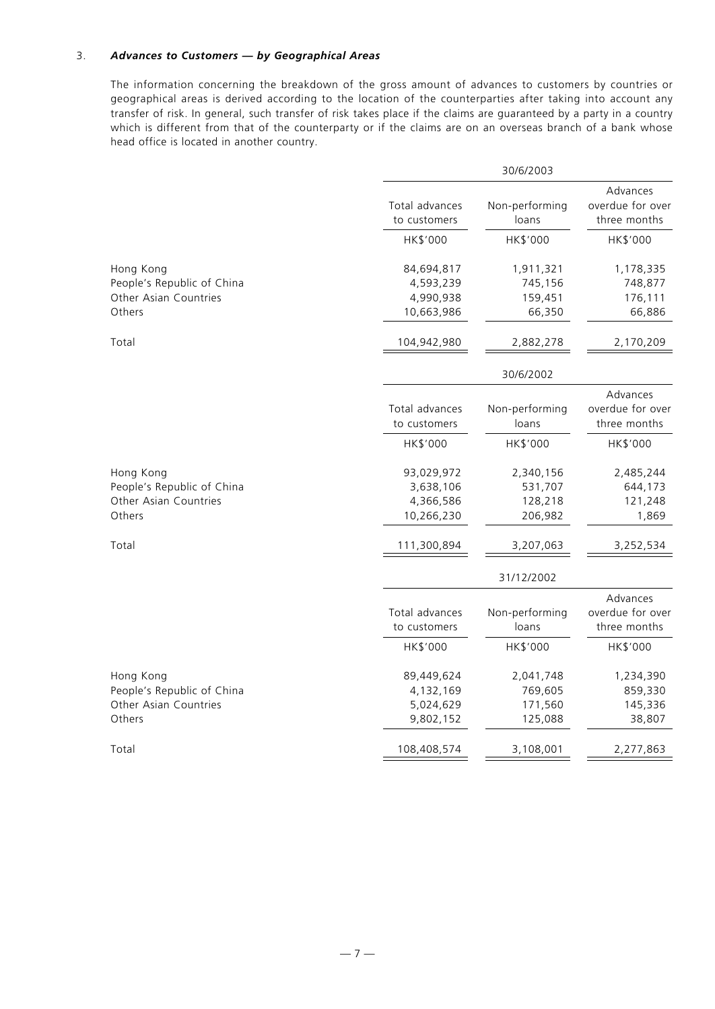# 3. *Advances to Customers — by Geographical Areas*

The information concerning the breakdown of the gross amount of advances to customers by countries or geographical areas is derived according to the location of the counterparties after taking into account any transfer of risk. In general, such transfer of risk takes place if the claims are guaranteed by a party in a country which is different from that of the counterparty or if the claims are on an overseas branch of a bank whose head office is located in another country.

|                                                                  |                                      | 30/6/2003                       |                                              |  |  |
|------------------------------------------------------------------|--------------------------------------|---------------------------------|----------------------------------------------|--|--|
|                                                                  | Total advances<br>to customers       | Non-performing<br>loans         | Advances<br>overdue for over<br>three months |  |  |
|                                                                  | HK\$'000                             | HK\$'000                        | HK\$'000                                     |  |  |
| Hong Kong                                                        | 84,694,817                           | 1,911,321                       | 1,178,335                                    |  |  |
| People's Republic of China                                       | 4,593,239                            | 745,156                         | 748,877                                      |  |  |
| Other Asian Countries                                            | 4,990,938                            | 159,451                         | 176,111                                      |  |  |
| Others                                                           | 10,663,986                           | 66,350                          | 66,886                                       |  |  |
| Total                                                            | 104,942,980                          | 2,882,278                       | 2,170,209                                    |  |  |
|                                                                  |                                      | 30/6/2002                       |                                              |  |  |
|                                                                  | Total advances<br>to customers       | Non-performing<br>loans         | Advances<br>overdue for over<br>three months |  |  |
|                                                                  | HK\$'000                             | HK\$'000                        | HK\$'000                                     |  |  |
| Hong Kong<br>People's Republic of China<br>Other Asian Countries | 93,029,972<br>3,638,106<br>4,366,586 | 2,340,156<br>531,707<br>128,218 | 2,485,244<br>644,173<br>121,248              |  |  |
| Others                                                           | 10,266,230                           | 206,982                         | 1,869                                        |  |  |
| Total                                                            | 111,300,894                          | 3,207,063                       | 3,252,534                                    |  |  |
|                                                                  |                                      | 31/12/2002                      |                                              |  |  |
|                                                                  |                                      |                                 | Advances<br>overdue for over                 |  |  |
|                                                                  | Total advances<br>to customers       | Non-performing<br>loans         | three months                                 |  |  |
|                                                                  | HK\$'000                             | HK\$'000                        | HK\$'000                                     |  |  |
| Hong Kong                                                        | 89,449,624                           | 2,041,748                       | 1,234,390                                    |  |  |
| People's Republic of China                                       | 4,132,169                            | 769,605                         | 859,330                                      |  |  |
| Other Asian Countries                                            | 5,024,629                            | 171,560                         | 145,336                                      |  |  |
| Others                                                           | 9,802,152                            | 125,088                         | 38,807                                       |  |  |
| Total                                                            | 108,408,574                          | 3,108,001                       | 2,277,863                                    |  |  |
|                                                                  |                                      |                                 |                                              |  |  |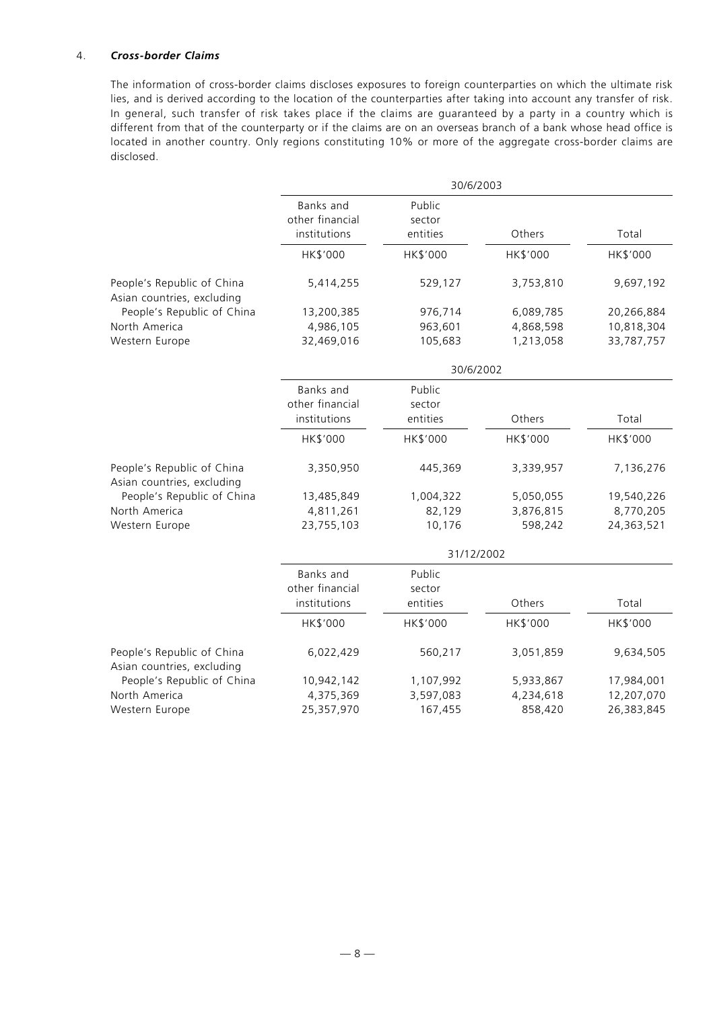# 4. *Cross-border Claims*

The information of cross-border claims discloses exposures to foreign counterparties on which the ultimate risk lies, and is derived according to the location of the counterparties after taking into account any transfer of risk. In general, such transfer of risk takes place if the claims are guaranteed by a party in a country which is different from that of the counterparty or if the claims are on an overseas branch of a bank whose head office is located in another country. Only regions constituting 10% or more of the aggregate cross-border claims are disclosed.

|                                                          | 30/6/2003                                    |                              |           |            |
|----------------------------------------------------------|----------------------------------------------|------------------------------|-----------|------------|
|                                                          | Banks and<br>other financial<br>institutions | Public<br>sector<br>entities | Others    | Total      |
|                                                          | HK\$'000                                     | HK\$'000                     | HK\$'000  | HK\$'000   |
| People's Republic of China<br>Asian countries, excluding | 5,414,255                                    | 529,127                      | 3,753,810 | 9,697,192  |
| People's Republic of China                               | 13,200,385                                   | 976,714                      | 6,089,785 | 20,266,884 |
| North America                                            | 4,986,105                                    | 963,601                      | 4,868,598 | 10,818,304 |
| Western Europe                                           | 32,469,016                                   | 105,683                      | 1,213,058 | 33,787,757 |
|                                                          |                                              | 30/6/2002                    |           |            |
|                                                          | Banks and<br>other financial<br>institutions | Public<br>sector<br>entities | Others    | Total      |
|                                                          |                                              |                              |           |            |
|                                                          | HK\$'000                                     | HK\$'000                     | HK\$'000  | HK\$'000   |
| People's Republic of China<br>Asian countries, excluding | 3,350,950                                    | 445,369                      | 3,339,957 | 7,136,276  |
| People's Republic of China                               | 13,485,849                                   | 1,004,322                    | 5,050,055 | 19,540,226 |
| North America                                            | 4,811,261                                    | 82,129                       | 3,876,815 | 8,770,205  |
| Western Europe                                           | 23,755,103                                   | 10,176                       | 598,242   | 24,363,521 |
|                                                          | 31/12/2002                                   |                              |           |            |
|                                                          | Banks and                                    | Public                       |           |            |
|                                                          | other financial                              | sector                       |           |            |
|                                                          | institutions                                 | entities                     | Others    | Total      |
|                                                          | HK\$'000                                     | HK\$'000                     | HK\$'000  | HK\$'000   |
| People's Republic of China<br>Asian countries, excluding | 6,022,429                                    | 560,217                      | 3,051,859 | 9,634,505  |
| People's Republic of China                               | 10,942,142                                   | 1,107,992                    | 5,933,867 | 17,984,001 |
| North America                                            | 4,375,369                                    | 3,597,083                    | 4,234,618 | 12,207,070 |
| Western Europe                                           | 25,357,970                                   | 167,455                      | 858,420   | 26,383,845 |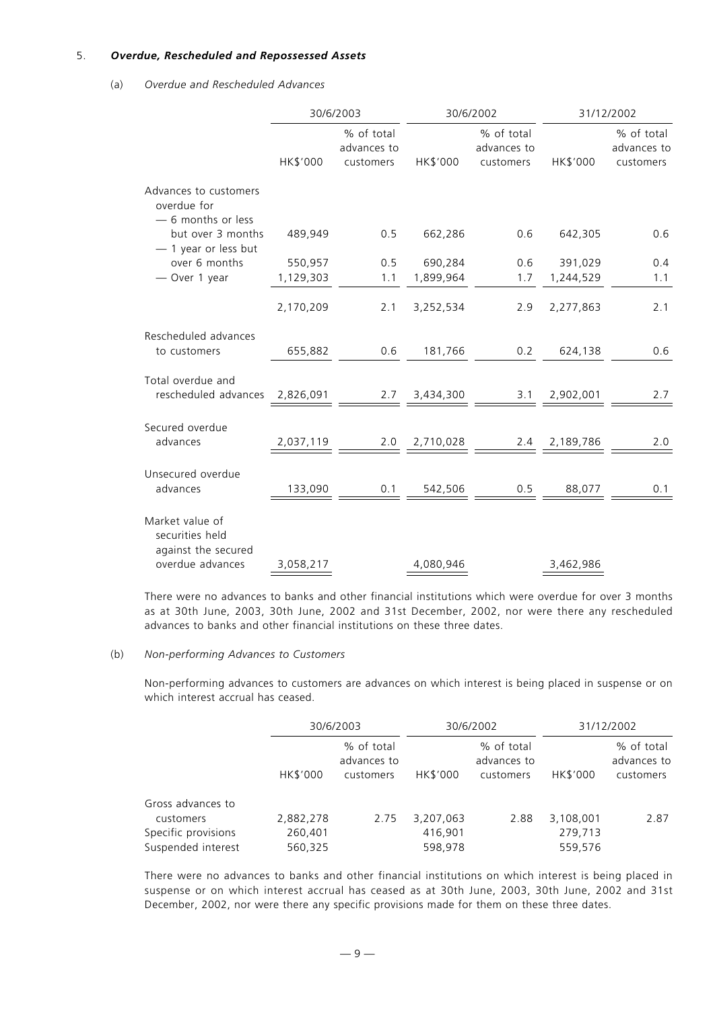## 5. *Overdue, Rescheduled and Repossessed Assets*

# (a) *Overdue and Rescheduled Advances*

|                                                           |           | 30/6/2003                              |                   | 30/6/2002                                                                                                           |               | 31/12/2002                             |  |
|-----------------------------------------------------------|-----------|----------------------------------------|-------------------|---------------------------------------------------------------------------------------------------------------------|---------------|----------------------------------------|--|
|                                                           | HK\$'000  | % of total<br>advances to<br>customers | HK\$'000          | % of total<br>advances to<br>customers                                                                              | HK\$'000      | % of total<br>advances to<br>customers |  |
| Advances to customers<br>overdue for<br>-6 months or less |           |                                        |                   |                                                                                                                     |               |                                        |  |
| but over 3 months<br>$-$ 1 year or less but               | 489,949   | 0.5                                    | 662,286           | 0.6                                                                                                                 | 642,305       | 0.6                                    |  |
| over 6 months                                             | 550,957   | 0.5                                    | 690,284           |                                                                                                                     | 0.6 391,029   | 0.4                                    |  |
| - Over 1 year                                             | 1,129,303 | 1.1                                    | 1,899,964         | 1.7                                                                                                                 | 1,244,529     | 1.1                                    |  |
|                                                           | 2,170,209 | 2.1                                    | 3,252,534         | 2.9                                                                                                                 | 2,277,863     | 2.1                                    |  |
| Rescheduled advances                                      |           |                                        |                   |                                                                                                                     |               |                                        |  |
| to customers                                              | 655,882   |                                        | 0.6 181,766       | 0.2                                                                                                                 | 624,138       | 0.6                                    |  |
| Total overdue and                                         |           |                                        |                   |                                                                                                                     |               |                                        |  |
| rescheduled advances 2,826,091                            |           |                                        | 2.7 3,434,300     |                                                                                                                     | 3.1 2,902,001 | 2.7                                    |  |
| Secured overdue                                           |           |                                        |                   |                                                                                                                     |               |                                        |  |
| advances                                                  | 2,037,119 |                                        | $2.0$ $2,710,028$ | $2.4$ $2,189,786$                                                                                                   |               | 2.0                                    |  |
| Unsecured overdue                                         |           |                                        |                   |                                                                                                                     |               |                                        |  |
| advances                                                  |           |                                        |                   | $\frac{133,090}{ } \underline{\hspace{1.5cm} 0.1 \hspace{1.5cm} 542,506 \hspace{1.5cm} 0.5 \hspace{1.5cm} 88,077 }$ |               | 0.1                                    |  |
| Market value of<br>securities held<br>against the secured |           |                                        |                   |                                                                                                                     |               |                                        |  |
| overdue advances                                          | 3,058,217 |                                        | 4,080,946         |                                                                                                                     | 3,462,986     |                                        |  |

There were no advances to banks and other financial institutions which were overdue for over 3 months as at 30th June, 2003, 30th June, 2002 and 31st December, 2002, nor were there any rescheduled advances to banks and other financial institutions on these three dates.

#### (b) *Non-performing Advances to Customers*

Non-performing advances to customers are advances on which interest is being placed in suspense or on which interest accrual has ceased.

|                     |           | 30/6/2003                              |           | 30/6/2002                              |           | 31/12/2002                             |  |
|---------------------|-----------|----------------------------------------|-----------|----------------------------------------|-----------|----------------------------------------|--|
|                     | HK\$'000  | % of total<br>advances to<br>customers | HK\$'000  | % of total<br>advances to<br>customers | HK\$'000  | % of total<br>advances to<br>customers |  |
| Gross advances to   |           |                                        |           |                                        |           |                                        |  |
| customers           | 2,882,278 | 2.75                                   | 3,207,063 | 2.88                                   | 3,108,001 | 2.87                                   |  |
| Specific provisions | 260,401   |                                        | 416,901   |                                        | 279,713   |                                        |  |
| Suspended interest  | 560,325   |                                        | 598,978   |                                        | 559,576   |                                        |  |

There were no advances to banks and other financial institutions on which interest is being placed in suspense or on which interest accrual has ceased as at 30th June, 2003, 30th June, 2002 and 31st December, 2002, nor were there any specific provisions made for them on these three dates.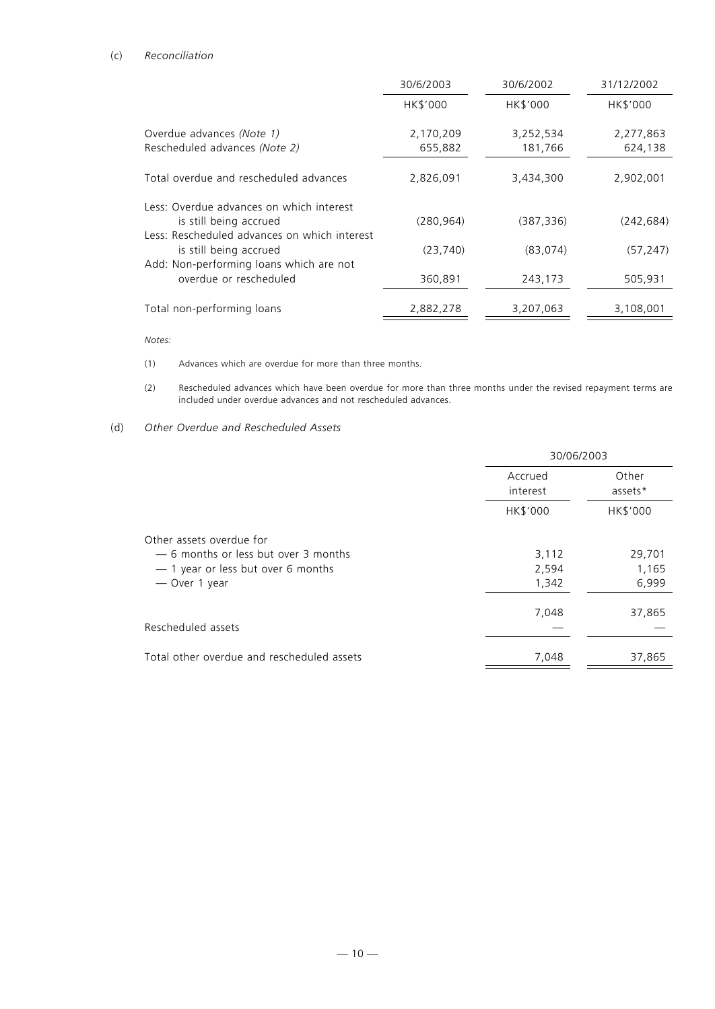# (c) *Reconciliation*

|                                                                                                                   | 30/6/2003       | 30/6/2002  | 31/12/2002 |
|-------------------------------------------------------------------------------------------------------------------|-----------------|------------|------------|
|                                                                                                                   | <b>HK\$'000</b> | HK\$'000   | HK\$'000   |
| Overdue advances (Note 1)                                                                                         | 2,170,209       | 3,252,534  | 2,277,863  |
| Rescheduled advances (Note 2)                                                                                     | 655,882         | 181,766    | 624,138    |
| Total overdue and rescheduled advances                                                                            | 2,826,091       | 3,434,300  | 2,902,001  |
| Less: Overdue advances on which interest                                                                          |                 |            |            |
| is still being accrued                                                                                            | (280, 964)      | (387, 336) | (242, 684) |
| Less: Rescheduled advances on which interest<br>is still being accrued<br>Add: Non-performing loans which are not | (23, 740)       | (83,074)   | (57, 247)  |
| overdue or rescheduled                                                                                            | 360,891         | 243,173    | 505,931    |
| Total non-performing loans                                                                                        | 2,882,278       | 3,207,063  | 3,108,001  |

*Notes:*

- (1) Advances which are overdue for more than three months.
- (2) Rescheduled advances which have been overdue for more than three months under the revised repayment terms are included under overdue advances and not rescheduled advances.

# (d) *Other Overdue and Rescheduled Assets*

| 30/06/2003          |                  |  |  |
|---------------------|------------------|--|--|
| Accrued<br>interest | Other<br>assets* |  |  |
| HK\$'000            | HK\$'000         |  |  |
|                     |                  |  |  |
| 3,112               | 29,701           |  |  |
| 2,594               | 1,165            |  |  |
| 1,342               | 6,999            |  |  |
| 7,048               | 37,865           |  |  |
|                     |                  |  |  |
| 7,048               | 37,865           |  |  |
|                     |                  |  |  |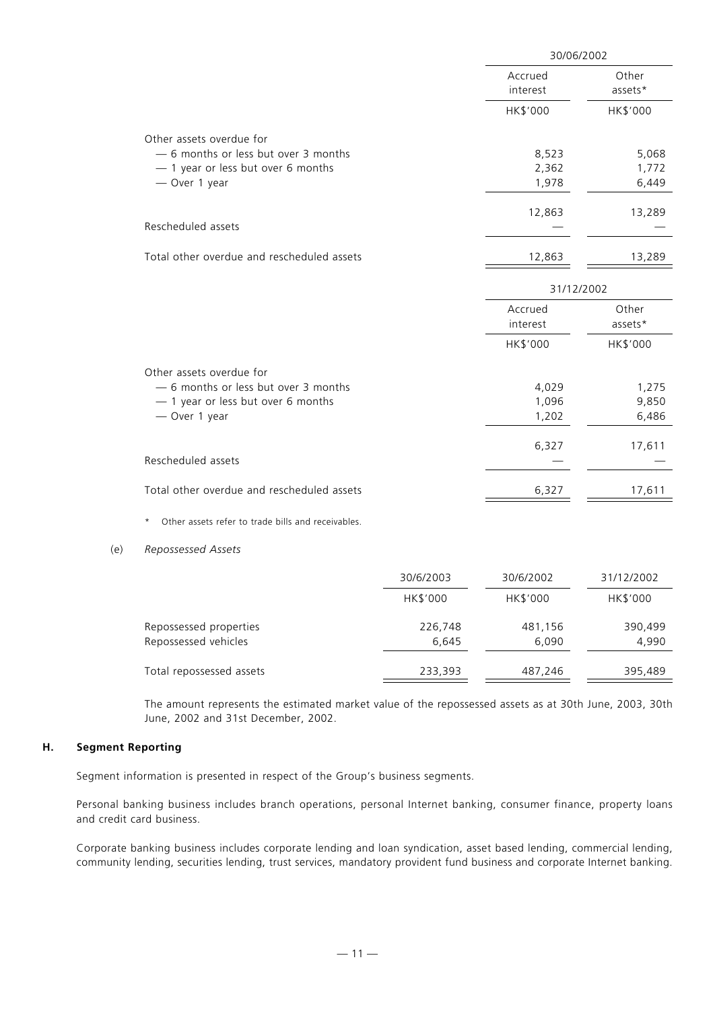|                                                                                                                         | 30/06/2002 |                         |                         |  |  |
|-------------------------------------------------------------------------------------------------------------------------|------------|-------------------------|-------------------------|--|--|
|                                                                                                                         |            | Accrued<br>interest     | Other<br>assets*        |  |  |
|                                                                                                                         |            | HK\$'000                | HK\$'000                |  |  |
| Other assets overdue for<br>- 6 months or less but over 3 months<br>- 1 year or less but over 6 months<br>- Over 1 year |            | 8,523<br>2,362<br>1,978 | 5,068<br>1,772<br>6,449 |  |  |
| Rescheduled assets                                                                                                      |            | 12,863                  | 13,289                  |  |  |
| Total other overdue and rescheduled assets                                                                              |            | 12,863                  | 13,289                  |  |  |
|                                                                                                                         |            | 31/12/2002              |                         |  |  |
|                                                                                                                         |            | Accrued<br>interest     | Other<br>assets*        |  |  |
|                                                                                                                         |            | HK\$'000                | HK\$'000                |  |  |
| Other assets overdue for<br>- 6 months or less but over 3 months<br>- 1 year or less but over 6 months<br>- Over 1 year |            | 4,029<br>1,096<br>1,202 | 1,275<br>9,850<br>6,486 |  |  |
| Rescheduled assets                                                                                                      |            | 6,327                   | 17,611                  |  |  |
| Total other overdue and rescheduled assets                                                                              |            | 6,327                   | 17,611                  |  |  |
| Other assets refer to trade bills and receivables.<br>$^\star$                                                          |            |                         |                         |  |  |
| Repossessed Assets                                                                                                      |            |                         |                         |  |  |
|                                                                                                                         | 30/6/2003  | 30/6/2002               | 31/12/2002              |  |  |
|                                                                                                                         | HK\$'000   | HK\$'000                | HK\$'000                |  |  |

| Repossessed properties   | 226,748 | 481,156 | 390.499 |
|--------------------------|---------|---------|---------|
| Repossessed vehicles     | 6.645   | 6.090   | 4.990   |
| Total repossessed assets | 233,393 | 487.246 | 395.489 |

The amount represents the estimated market value of the repossessed assets as at 30th June, 2003, 30th June, 2002 and 31st December, 2002.

# **H. Segment Reporting**

(e) *Repossessed Assets*

Segment information is presented in respect of the Group's business segments.

Personal banking business includes branch operations, personal Internet banking, consumer finance, property loans and credit card business.

Corporate banking business includes corporate lending and loan syndication, asset based lending, commercial lending, community lending, securities lending, trust services, mandatory provident fund business and corporate Internet banking.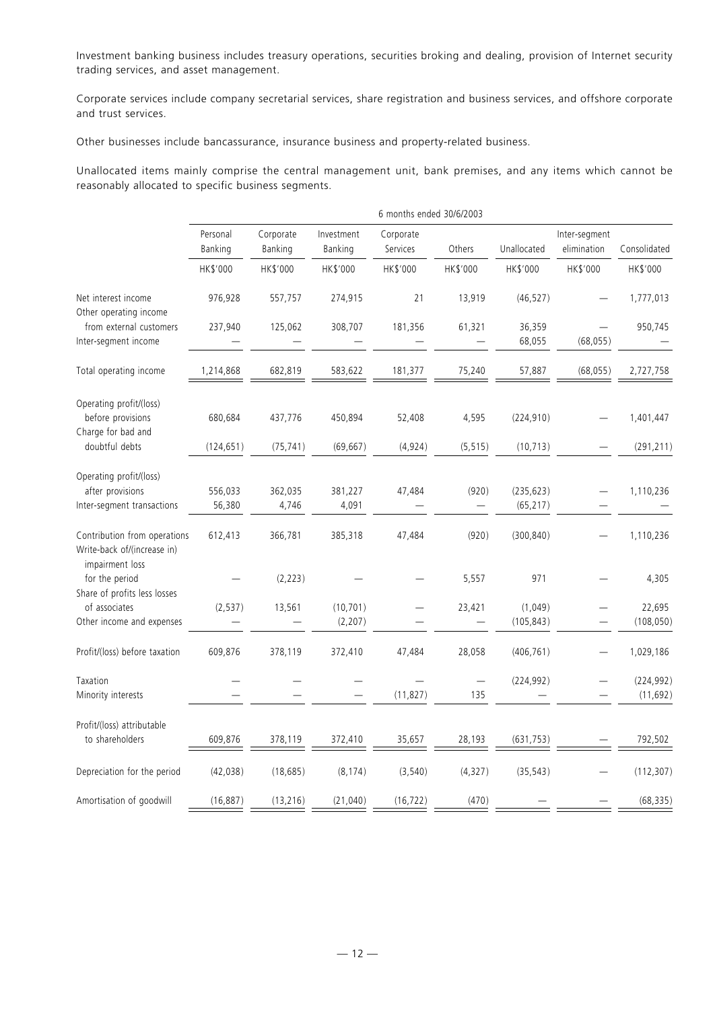Investment banking business includes treasury operations, securities broking and dealing, provision of Internet security trading services, and asset management.

Corporate services include company secretarial services, share registration and business services, and offshore corporate and trust services.

Other businesses include bancassurance, insurance business and property-related business.

Unallocated items mainly comprise the central management unit, bank premises, and any items which cannot be reasonably allocated to specific business segments.

|                                                                                | 6 months ended 30/6/2003 |                      |                       |                       |                                 |                         |                              |                         |
|--------------------------------------------------------------------------------|--------------------------|----------------------|-----------------------|-----------------------|---------------------------------|-------------------------|------------------------------|-------------------------|
|                                                                                | Personal<br>Banking      | Corporate<br>Banking | Investment<br>Banking | Corporate<br>Services | Others                          | Unallocated             | Inter-segment<br>elimination | Consolidated            |
|                                                                                | HK\$'000                 | HK\$'000             | HK\$'000              | HK\$'000              | HK\$'000                        | HK\$'000                | HK\$'000                     | HK\$'000                |
| Net interest income<br>Other operating income                                  | 976,928                  | 557,757              | 274,915               | 21                    | 13,919                          | (46, 527)               |                              | 1,777,013               |
| from external customers<br>Inter-segment income                                | 237,940                  | 125,062              | 308,707               | 181,356               | 61,321                          | 36,359<br>68,055        | (68, 055)                    | 950,745                 |
| Total operating income                                                         | 1,214,868                | 682,819              | 583,622               | 181,377               | 75,240                          | 57,887                  | (68, 055)                    | 2,727,758               |
| Operating profit/(loss)<br>before provisions                                   | 680,684                  | 437,776              | 450,894               | 52,408                | 4,595                           | (224, 910)              |                              | 1,401,447               |
| Charge for bad and<br>doubtful debts                                           | (124, 651)               | (75, 741)            | (69, 667)             | (4,924)               | (5, 515)                        | (10, 713)               |                              | (291, 211)              |
| Operating profit/(loss)<br>after provisions<br>Inter-segment transactions      | 556,033<br>56,380        | 362,035<br>4,746     | 381,227<br>4,091      | 47,484                | (920)                           | (235, 623)<br>(65, 217) |                              | 1,110,236               |
| Contribution from operations<br>Write-back of/(increase in)<br>impairment loss | 612,413                  | 366,781              | 385,318               | 47,484                | (920)                           | (300, 840)              |                              | 1,110,236               |
| for the period<br>Share of profits less losses                                 |                          | (2, 223)             |                       |                       | 5,557                           | 971                     |                              | 4,305                   |
| of associates<br>Other income and expenses                                     | (2, 537)                 | 13,561               | (10, 701)<br>(2, 207) |                       | 23,421                          | (1,049)<br>(105, 843)   |                              | 22,695<br>(108, 050)    |
| Profit/(loss) before taxation                                                  | 609,876                  | 378,119              | 372,410               | 47,484                | 28,058                          | (406, 761)              |                              | 1,029,186               |
| Taxation<br>Minority interests                                                 |                          |                      |                       | (11, 827)             | $\overline{\phantom{0}}$<br>135 | (224, 992)              |                              | (224, 992)<br>(11, 692) |
| Profit/(loss) attributable<br>to shareholders                                  | 609,876                  | 378,119              | 372,410               | 35,657                | 28,193                          | (631, 753)              |                              | 792,502                 |
| Depreciation for the period                                                    | (42, 038)                | (18, 685)            | (8, 174)              | (3, 540)              | (4, 327)                        | (35, 543)               |                              | (112, 307)              |
| Amortisation of goodwill                                                       | (16, 887)                | (13, 216)            | (21, 040)             | (16, 722)             | (470)                           |                         |                              | (68, 335)               |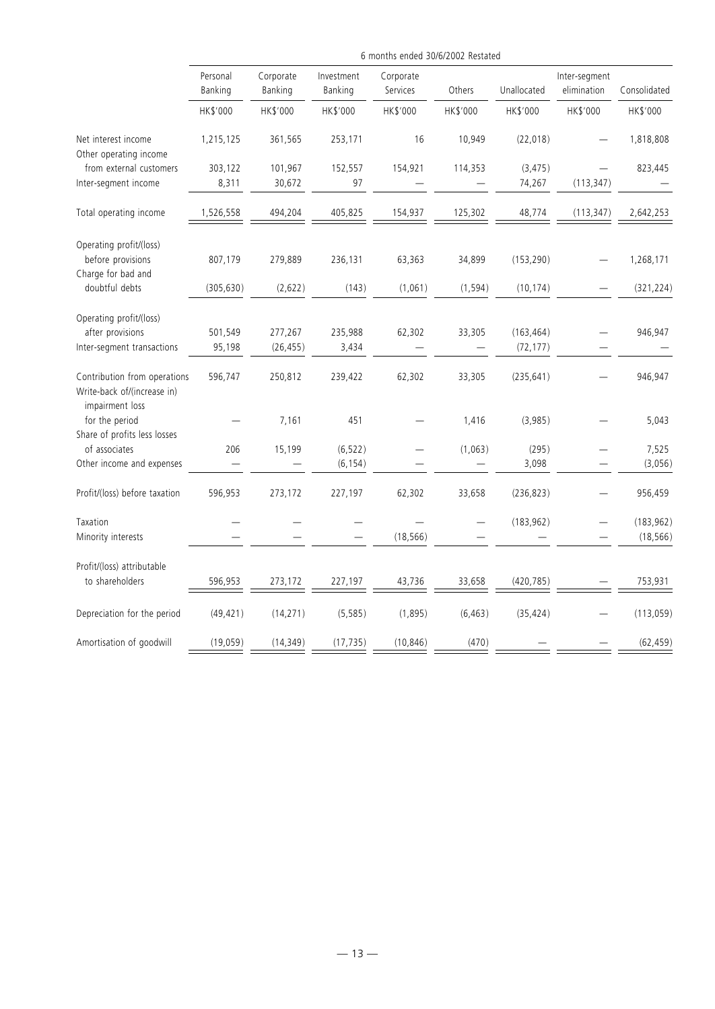|                                                             | 6 months ended 30/6/2002 Restated |                      |                       |                       |          |             |                              |                  |
|-------------------------------------------------------------|-----------------------------------|----------------------|-----------------------|-----------------------|----------|-------------|------------------------------|------------------|
|                                                             | Personal<br>Banking               | Corporate<br>Banking | Investment<br>Banking | Corporate<br>Services | Others   | Unallocated | Inter-segment<br>elimination | Consolidated     |
|                                                             | HK\$'000                          | HK\$'000             | HK\$'000              | HK\$'000              | HK\$'000 | HK\$'000    | HK\$'000                     | HK\$'000         |
| Net interest income<br>Other operating income               | 1,215,125                         | 361,565              | 253,171               | 16                    | 10,949   | (22, 018)   |                              | 1,818,808        |
| from external customers                                     | 303,122                           | 101,967              | 152,557               | 154,921               | 114,353  | (3, 475)    |                              | 823,445          |
| Inter-segment income                                        | 8,311                             | 30,672               | 97                    |                       |          | 74,267      | (113, 347)                   |                  |
| Total operating income                                      | 1,526,558                         | 494,204              | 405,825               | 154,937               | 125,302  | 48,774      | (113, 347)                   | 2,642,253        |
| Operating profit/(loss)                                     |                                   |                      |                       |                       |          |             |                              |                  |
| before provisions                                           | 807,179                           | 279,889              | 236,131               | 63,363                | 34,899   | (153, 290)  |                              | 1,268,171        |
| Charge for bad and<br>doubtful debts                        | (305, 630)                        | (2,622)              | (143)                 | (1,061)               | (1, 594) | (10, 174)   |                              | (321, 224)       |
| Operating profit/(loss)                                     |                                   |                      |                       |                       |          |             |                              |                  |
| after provisions                                            | 501,549                           | 277,267              | 235,988               | 62,302                | 33,305   | (163, 464)  |                              | 946,947          |
| Inter-segment transactions                                  | 95,198                            | (26, 455)            | 3,434                 |                       |          | (72, 177)   |                              |                  |
| Contribution from operations<br>Write-back of/(increase in) | 596,747                           | 250,812              | 239,422               | 62,302                | 33,305   | (235, 641)  |                              | 946,947          |
| impairment loss<br>for the period                           |                                   | 7,161                | 451                   |                       | 1,416    | (3,985)     |                              | 5,043            |
| Share of profits less losses<br>of associates               | 206                               |                      | (6, 522)              |                       | (1,063)  | (295)       |                              |                  |
| Other income and expenses                                   |                                   | 15,199               | (6, 154)              |                       |          | 3,098       |                              | 7,525<br>(3,056) |
| Profit/(loss) before taxation                               | 596,953                           | 273,172              | 227,197               | 62,302                | 33,658   | (236, 823)  |                              | 956,459          |
| Taxation                                                    |                                   |                      |                       |                       |          | (183, 962)  |                              | (183, 962)       |
| Minority interests                                          |                                   |                      |                       | (18, 566)             |          |             |                              | (18, 566)        |
| Profit/(loss) attributable                                  |                                   |                      |                       |                       |          |             |                              |                  |
| to shareholders                                             | 596,953                           | 273,172              | 227,197               | 43,736                | 33,658   | (420, 785)  |                              | 753,931          |
| Depreciation for the period                                 | (49, 421)                         | (14, 271)            | (5, 585)              | (1,895)               | (6, 463) | (35, 424)   |                              | (113, 059)       |
| Amortisation of goodwill                                    | (19, 059)                         | (14, 349)            | (17, 735)             | (10, 846)             | (470)    |             |                              | (62, 459)        |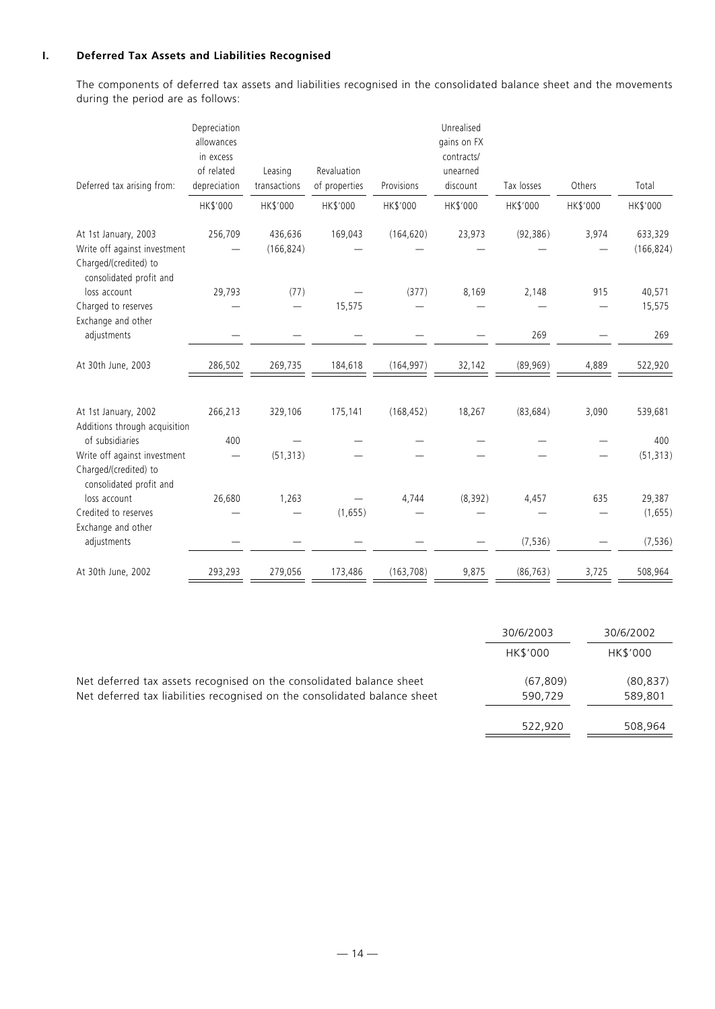# **I. Deferred Tax Assets and Liabilities Recognised**

The components of deferred tax assets and liabilities recognised in the consolidated balance sheet and the movements during the period are as follows:

|                                                                                                          | Depreciation<br>allowances              |                         |                              |            | Unrealised<br>gains on FX          |            |          |                       |
|----------------------------------------------------------------------------------------------------------|-----------------------------------------|-------------------------|------------------------------|------------|------------------------------------|------------|----------|-----------------------|
| Deferred tax arising from:                                                                               | in excess<br>of related<br>depreciation | Leasing<br>transactions | Revaluation<br>of properties | Provisions | contracts/<br>unearned<br>discount | Tax losses | Others   | Total                 |
|                                                                                                          | HK\$'000                                | HK\$'000                | HK\$'000                     | HK\$'000   | HK\$'000                           | HK\$'000   | HK\$'000 | HK\$'000              |
| At 1st January, 2003<br>Write off against investment<br>Charged/(credited) to<br>consolidated profit and | 256,709                                 | 436,636<br>(166, 824)   | 169,043                      | (164, 620) | 23,973                             | (92, 386)  | 3,974    | 633,329<br>(166, 824) |
| loss account                                                                                             | 29,793                                  | (77)                    |                              | (377)      | 8,169                              | 2,148      | 915      | 40,571                |
| Charged to reserves                                                                                      |                                         |                         | 15,575                       |            |                                    |            |          | 15,575                |
| Exchange and other<br>adjustments                                                                        |                                         |                         |                              |            |                                    | 269        |          | 269                   |
| At 30th June, 2003                                                                                       | 286,502                                 | 269,735                 | 184,618                      | (164, 997) | 32,142                             | (89,969)   | 4,889    | 522,920               |
| At 1st January, 2002<br>Additions through acquisition                                                    | 266,213                                 | 329,106                 | 175,141                      | (168, 452) | 18,267                             | (83, 684)  | 3,090    | 539,681               |
| of subsidiaries<br>Write off against investment<br>Charged/(credited) to<br>consolidated profit and      | 400                                     | (51, 313)               |                              |            |                                    |            |          | 400<br>(51, 313)      |
| loss account                                                                                             | 26,680                                  | 1,263                   |                              | 4,744      | (8, 392)                           | 4,457      | 635      | 29,387                |
| Credited to reserves                                                                                     |                                         |                         | (1,655)                      |            |                                    |            |          | (1,655)               |
| Exchange and other<br>adjustments                                                                        |                                         |                         |                              |            |                                    | (7, 536)   |          | (7, 536)              |
| At 30th June, 2002                                                                                       | 293,293                                 | 279,056                 | 173,486                      | (163, 708) | 9,875                              | (86, 763)  | 3,725    | 508,964               |

|                                                                                                                                                   | 30/6/2003           | 30/6/2002            |
|---------------------------------------------------------------------------------------------------------------------------------------------------|---------------------|----------------------|
|                                                                                                                                                   | <b>HK\$'000</b>     | HK\$'000             |
| Net deferred tax assets recognised on the consolidated balance sheet<br>Net deferred tax liabilities recognised on the consolidated balance sheet | (67.809)<br>590.729 | (80, 837)<br>589,801 |
|                                                                                                                                                   | 522.920             | 508.964              |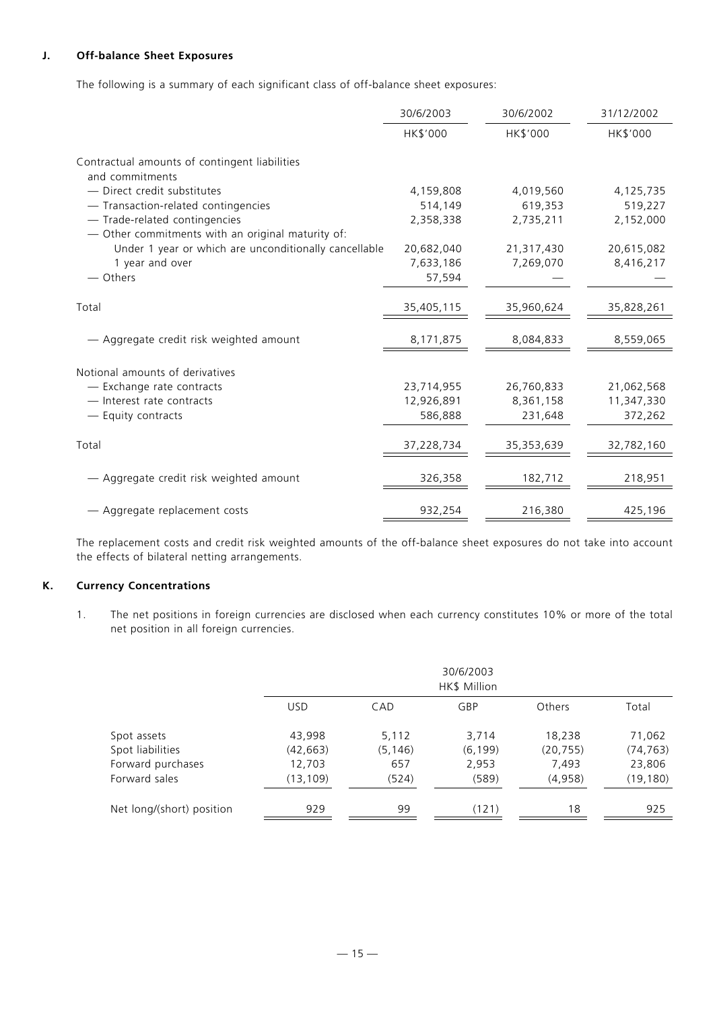# **J. Off-balance Sheet Exposures**

The following is a summary of each significant class of off-balance sheet exposures:

|                                                                  | 30/6/2003  | 30/6/2002  | 31/12/2002 |
|------------------------------------------------------------------|------------|------------|------------|
|                                                                  | HK\$'000   | HK\$'000   | HK\$'000   |
| Contractual amounts of contingent liabilities<br>and commitments |            |            |            |
| - Direct credit substitutes                                      | 4,159,808  | 4,019,560  | 4,125,735  |
| - Transaction-related contingencies                              | 514,149    | 619,353    | 519,227    |
| - Trade-related contingencies                                    | 2,358,338  | 2,735,211  | 2,152,000  |
| - Other commitments with an original maturity of:                |            |            |            |
| Under 1 year or which are unconditionally cancellable            | 20,682,040 | 21,317,430 | 20,615,082 |
| 1 year and over                                                  | 7,633,186  | 7,269,070  | 8,416,217  |
| — Others                                                         | 57,594     |            |            |
|                                                                  |            |            |            |
| Total                                                            | 35,405,115 | 35,960,624 | 35,828,261 |
|                                                                  |            |            |            |
| - Aggregate credit risk weighted amount                          | 8,171,875  | 8,084,833  | 8,559,065  |
|                                                                  |            |            |            |
| Notional amounts of derivatives                                  |            |            |            |
| - Exchange rate contracts                                        | 23,714,955 | 26,760,833 | 21,062,568 |
| - Interest rate contracts                                        | 12,926,891 | 8,361,158  | 11,347,330 |
| - Equity contracts                                               | 586,888    | 231,648    | 372,262    |
|                                                                  |            |            |            |
| Total                                                            | 37,228,734 | 35,353,639 | 32,782,160 |
|                                                                  |            |            |            |
| - Aggregate credit risk weighted amount                          | 326,358    | 182,712    | 218,951    |
|                                                                  |            |            |            |
| - Aggregate replacement costs                                    | 932,254    | 216,380    | 425,196    |

The replacement costs and credit risk weighted amounts of the off-balance sheet exposures do not take into account the effects of bilateral netting arrangements.

## **K. Currency Concentrations**

1. The net positions in foreign currencies are disclosed when each currency constitutes 10% or more of the total net position in all foreign currencies.

|                           |            | 30/6/2003<br>HK\$ Million |          |               |           |  |  |  |
|---------------------------|------------|---------------------------|----------|---------------|-----------|--|--|--|
|                           | <b>USD</b> | CAD                       | GBP      | <b>Others</b> | Total     |  |  |  |
| Spot assets               | 43,998     | 5,112                     | 3,714    | 18,238        | 71,062    |  |  |  |
| Spot liabilities          | (42,663)   | (5,146)                   | (6, 199) | (20, 755)     | (74, 763) |  |  |  |
| Forward purchases         | 12,703     | 657                       | 2,953    | 7,493         | 23,806    |  |  |  |
| Forward sales             | (13,109)   | (524)                     | (589)    | (4,958)       | (19, 180) |  |  |  |
| Net long/(short) position | 929        | 99                        | (121)    | 18            | 925       |  |  |  |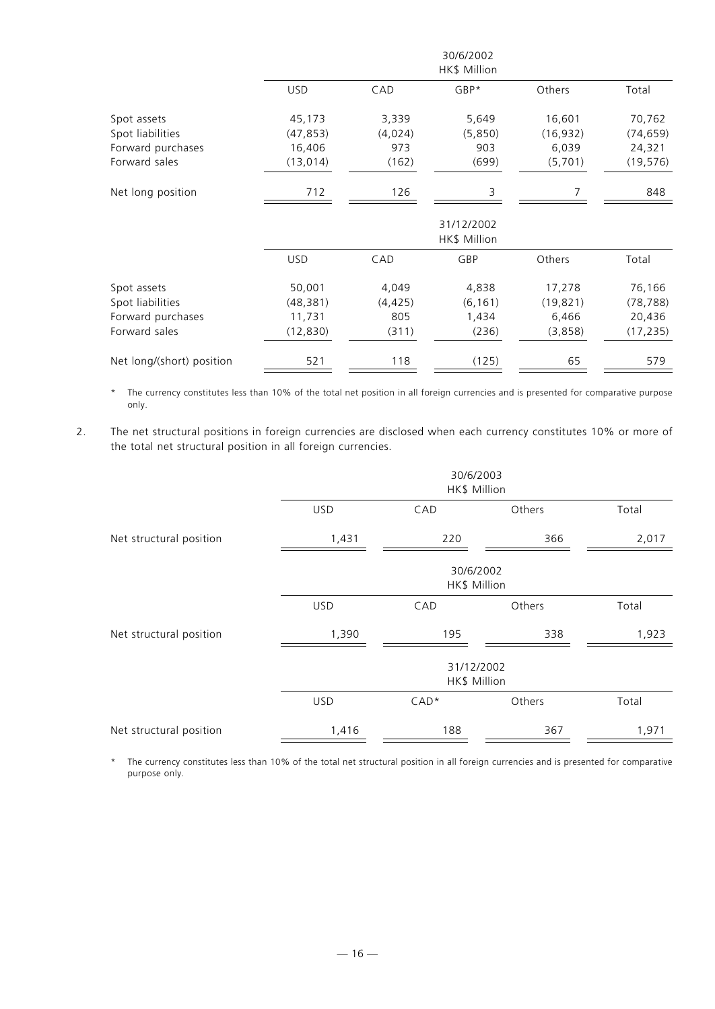|                           |            |          | 30/6/2002<br>HK\$ Million  |           |           |
|---------------------------|------------|----------|----------------------------|-----------|-----------|
|                           | <b>USD</b> | CAD      | $GBP*$                     | Others    | Total     |
| Spot assets               | 45,173     | 3,339    | 5,649                      | 16,601    | 70,762    |
| Spot liabilities          | (47, 853)  | (4,024)  | (5,850)                    | (16, 932) | (74, 659) |
| Forward purchases         | 16,406     | 973      | 903                        | 6,039     | 24,321    |
| Forward sales             | (13, 014)  | (162)    | (699)                      | (5,701)   | (19, 576) |
| Net long position         | 712        | 126      | 3                          |           | 848       |
|                           |            |          | 31/12/2002<br>HK\$ Million |           |           |
|                           | <b>USD</b> | CAD      | GBP                        | Others    | Total     |
| Spot assets               | 50,001     | 4,049    | 4,838                      | 17,278    | 76,166    |
| Spot liabilities          | (48, 381)  | (4, 425) | (6, 161)                   | (19, 821) | (78, 788) |
| Forward purchases         | 11,731     | 805      | 1,434                      | 6,466     | 20,436    |
| Forward sales             | (12, 830)  | (311)    | (236)                      | (3,858)   | (17, 235) |
| Net long/(short) position | 521        | 118      | (125)                      | 65        | 579       |

\* The currency constitutes less than 10% of the total net position in all foreign currencies and is presented for comparative purpose only.

2. The net structural positions in foreign currencies are disclosed when each currency constitutes 10% or more of the total net structural position in all foreign currencies.

|                         | 30/6/2003<br>HK\$ Million |                            |        |       |  |
|-------------------------|---------------------------|----------------------------|--------|-------|--|
|                         | <b>USD</b>                | CAD                        | Others | Total |  |
| Net structural position | 1,431                     | 220                        | 366    | 2,017 |  |
|                         | 30/6/2002<br>HK\$ Million |                            |        |       |  |
|                         | <b>USD</b>                | CAD                        | Others | Total |  |
| Net structural position | 1,390                     | 195                        | 338    | 1,923 |  |
|                         |                           | 31/12/2002<br>HK\$ Million |        |       |  |
|                         | <b>USD</b>                | $CAD*$                     | Others | Total |  |
| Net structural position | 1,416                     | 188                        | 367    | 1,971 |  |

\* The currency constitutes less than 10% of the total net structural position in all foreign currencies and is presented for comparative purpose only.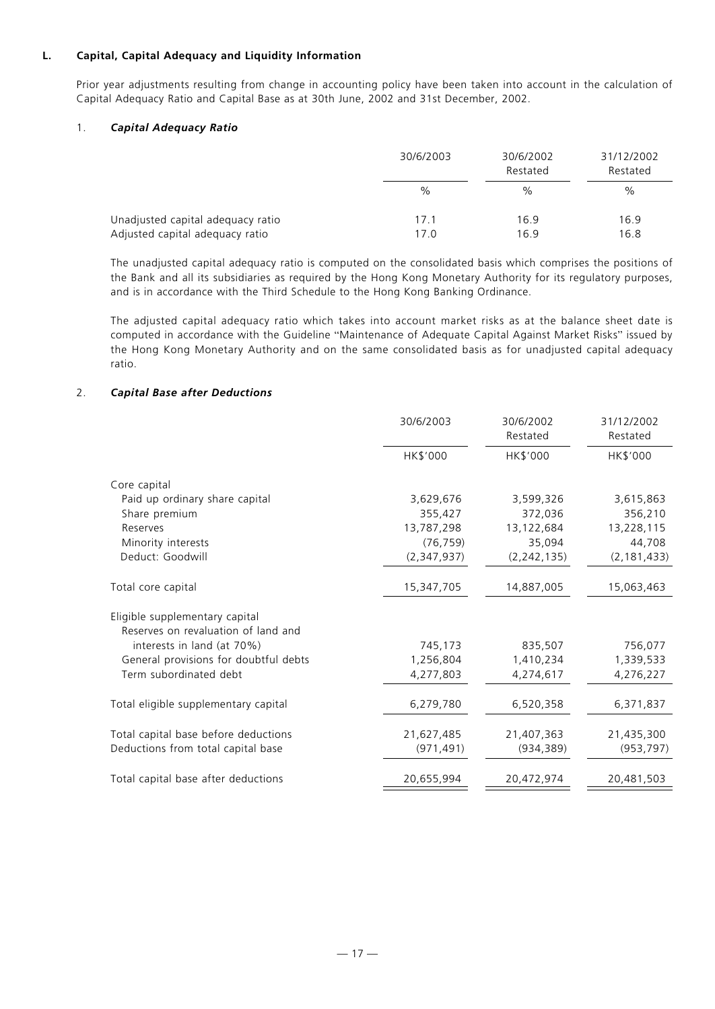# **L. Capital, Capital Adequacy and Liquidity Information**

Prior year adjustments resulting from change in accounting policy have been taken into account in the calculation of Capital Adequacy Ratio and Capital Base as at 30th June, 2002 and 31st December, 2002.

## 1. *Capital Adequacy Ratio*

|                                   | 30/6/2003 | 30/6/2002<br>Restated | 31/12/2002<br>Restated |
|-----------------------------------|-----------|-----------------------|------------------------|
|                                   | $\%$      | %                     | %                      |
| Unadjusted capital adequacy ratio | 17.1      | 16.9                  | 16.9                   |
| Adjusted capital adequacy ratio   | 17.0      | 16.9                  | 16.8                   |

The unadjusted capital adequacy ratio is computed on the consolidated basis which comprises the positions of the Bank and all its subsidiaries as required by the Hong Kong Monetary Authority for its regulatory purposes, and is in accordance with the Third Schedule to the Hong Kong Banking Ordinance.

The adjusted capital adequacy ratio which takes into account market risks as at the balance sheet date is computed in accordance with the Guideline "Maintenance of Adequate Capital Against Market Risks" issued by the Hong Kong Monetary Authority and on the same consolidated basis as for unadjusted capital adequacy ratio.

# 2. *Capital Base after Deductions*

|                                       | 30/6/2003   | 30/6/2002<br>Restated | 31/12/2002<br>Restated |
|---------------------------------------|-------------|-----------------------|------------------------|
|                                       | HK\$'000    | HK\$'000              | HK\$'000               |
| Core capital                          |             |                       |                        |
| Paid up ordinary share capital        | 3,629,676   | 3,599,326             | 3,615,863              |
| Share premium                         | 355,427     | 372,036               | 356,210                |
| Reserves                              | 13,787,298  | 13,122,684            | 13,228,115             |
| Minority interests                    | (76, 759)   | 35,094                | 44,708                 |
| Deduct: Goodwill                      | (2,347,937) | (2, 242, 135)         | (2, 181, 433)          |
| Total core capital                    | 15,347,705  | 14,887,005            | 15,063,463             |
| Eligible supplementary capital        |             |                       |                        |
| Reserves on revaluation of land and   |             |                       |                        |
| interests in land (at 70%)            | 745,173     | 835,507               | 756,077                |
| General provisions for doubtful debts | 1,256,804   | 1,410,234             | 1,339,533              |
| Term subordinated debt                | 4,277,803   | 4,274,617             | 4,276,227              |
| Total eligible supplementary capital  | 6,279,780   | 6,520,358             | 6,371,837              |
| Total capital base before deductions  | 21,627,485  | 21,407,363            | 21,435,300             |
| Deductions from total capital base    | (971, 491)  | (934, 389)            | (953, 797)             |
| Total capital base after deductions   | 20,655,994  | 20,472,974            | 20,481,503             |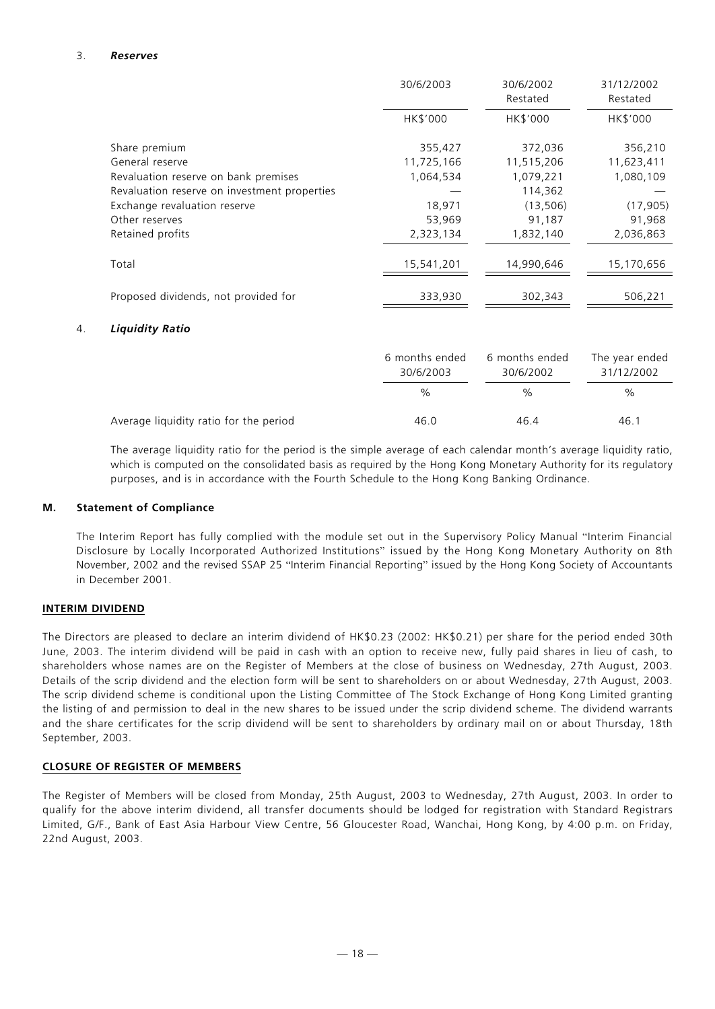## 3. *Reserves*

|    |                                              | 30/6/2003      | 30/6/2002<br>Restated | 31/12/2002<br>Restated |
|----|----------------------------------------------|----------------|-----------------------|------------------------|
|    |                                              | HK\$'000       | HK\$'000              | HK\$'000               |
|    | Share premium                                | 355,427        | 372,036               | 356,210                |
|    | General reserve                              | 11,725,166     | 11,515,206            | 11,623,411             |
|    | Revaluation reserve on bank premises         | 1,064,534      | 1,079,221             | 1,080,109              |
|    | Revaluation reserve on investment properties |                | 114,362               |                        |
|    | Exchange revaluation reserve                 | 18,971         | (13, 506)             | (17, 905)              |
|    | Other reserves                               | 53,969         | 91,187                | 91,968                 |
|    | Retained profits                             | 2,323,134      | 1,832,140             | 2,036,863              |
|    | Total                                        | 15,541,201     | 14,990,646            | 15,170,656             |
|    | Proposed dividends, not provided for         | 333,930        | 302,343               | 506,221                |
| 4. | <b>Liquidity Ratio</b>                       |                |                       |                        |
|    |                                              | 6 months ended | 6 months ended        | The year ended         |

|                                        | 30/6/2003 | 30/6/2002     | 31/12/2002 |
|----------------------------------------|-----------|---------------|------------|
|                                        | $\%$      | $\frac{0}{0}$ | %          |
| Average liquidity ratio for the period | 46.0      | 46.4          | 46.1       |

The average liquidity ratio for the period is the simple average of each calendar month's average liquidity ratio, which is computed on the consolidated basis as required by the Hong Kong Monetary Authority for its regulatory purposes, and is in accordance with the Fourth Schedule to the Hong Kong Banking Ordinance.

## **M. Statement of Compliance**

The Interim Report has fully complied with the module set out in the Supervisory Policy Manual "Interim Financial Disclosure by Locally Incorporated Authorized Institutions" issued by the Hong Kong Monetary Authority on 8th November, 2002 and the revised SSAP 25 "Interim Financial Reporting" issued by the Hong Kong Society of Accountants in December 2001.

## **INTERIM DIVIDEND**

The Directors are pleased to declare an interim dividend of HK\$0.23 (2002: HK\$0.21) per share for the period ended 30th June, 2003. The interim dividend will be paid in cash with an option to receive new, fully paid shares in lieu of cash, to shareholders whose names are on the Register of Members at the close of business on Wednesday, 27th August, 2003. Details of the scrip dividend and the election form will be sent to shareholders on or about Wednesday, 27th August, 2003. The scrip dividend scheme is conditional upon the Listing Committee of The Stock Exchange of Hong Kong Limited granting the listing of and permission to deal in the new shares to be issued under the scrip dividend scheme. The dividend warrants and the share certificates for the scrip dividend will be sent to shareholders by ordinary mail on or about Thursday, 18th September, 2003.

# **CLOSURE OF REGISTER OF MEMBERS**

The Register of Members will be closed from Monday, 25th August, 2003 to Wednesday, 27th August, 2003. In order to qualify for the above interim dividend, all transfer documents should be lodged for registration with Standard Registrars Limited, G/F., Bank of East Asia Harbour View Centre, 56 Gloucester Road, Wanchai, Hong Kong, by 4:00 p.m. on Friday, 22nd August, 2003.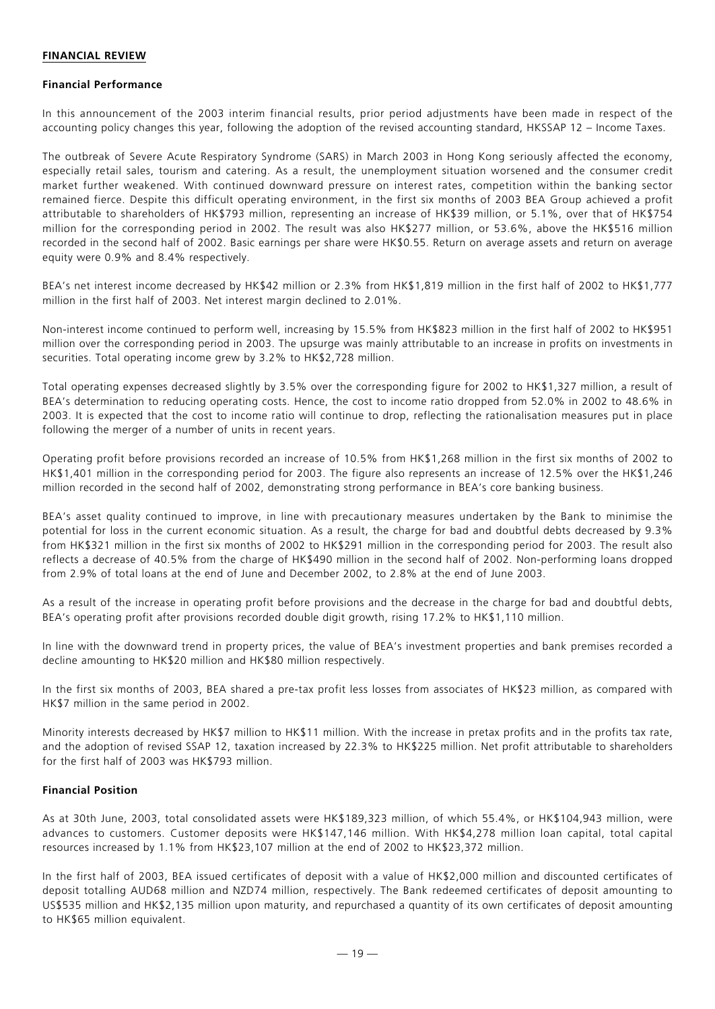#### **FINANCIAL REVIEW**

#### **Financial Performance**

In this announcement of the 2003 interim financial results, prior period adjustments have been made in respect of the accounting policy changes this year, following the adoption of the revised accounting standard, HKSSAP 12 – Income Taxes.

The outbreak of Severe Acute Respiratory Syndrome (SARS) in March 2003 in Hong Kong seriously affected the economy, especially retail sales, tourism and catering. As a result, the unemployment situation worsened and the consumer credit market further weakened. With continued downward pressure on interest rates, competition within the banking sector remained fierce. Despite this difficult operating environment, in the first six months of 2003 BEA Group achieved a profit attributable to shareholders of HK\$793 million, representing an increase of HK\$39 million, or 5.1%, over that of HK\$754 million for the corresponding period in 2002. The result was also HK\$277 million, or 53.6%, above the HK\$516 million recorded in the second half of 2002. Basic earnings per share were HK\$0.55. Return on average assets and return on average equity were 0.9% and 8.4% respectively.

BEA's net interest income decreased by HK\$42 million or 2.3% from HK\$1,819 million in the first half of 2002 to HK\$1,777 million in the first half of 2003. Net interest margin declined to 2.01%.

Non-interest income continued to perform well, increasing by 15.5% from HK\$823 million in the first half of 2002 to HK\$951 million over the corresponding period in 2003. The upsurge was mainly attributable to an increase in profits on investments in securities. Total operating income grew by 3.2% to HK\$2,728 million.

Total operating expenses decreased slightly by 3.5% over the corresponding figure for 2002 to HK\$1,327 million, a result of BEA's determination to reducing operating costs. Hence, the cost to income ratio dropped from 52.0% in 2002 to 48.6% in 2003. It is expected that the cost to income ratio will continue to drop, reflecting the rationalisation measures put in place following the merger of a number of units in recent years.

Operating profit before provisions recorded an increase of 10.5% from HK\$1,268 million in the first six months of 2002 to HK\$1,401 million in the corresponding period for 2003. The figure also represents an increase of 12.5% over the HK\$1,246 million recorded in the second half of 2002, demonstrating strong performance in BEA's core banking business.

BEA's asset quality continued to improve, in line with precautionary measures undertaken by the Bank to minimise the potential for loss in the current economic situation. As a result, the charge for bad and doubtful debts decreased by 9.3% from HK\$321 million in the first six months of 2002 to HK\$291 million in the corresponding period for 2003. The result also reflects a decrease of 40.5% from the charge of HK\$490 million in the second half of 2002. Non-performing loans dropped from 2.9% of total loans at the end of June and December 2002, to 2.8% at the end of June 2003.

As a result of the increase in operating profit before provisions and the decrease in the charge for bad and doubtful debts, BEA's operating profit after provisions recorded double digit growth, rising 17.2% to HK\$1,110 million.

In line with the downward trend in property prices, the value of BEA's investment properties and bank premises recorded a decline amounting to HK\$20 million and HK\$80 million respectively.

In the first six months of 2003, BEA shared a pre-tax profit less losses from associates of HK\$23 million, as compared with HK\$7 million in the same period in 2002.

Minority interests decreased by HK\$7 million to HK\$11 million. With the increase in pretax profits and in the profits tax rate, and the adoption of revised SSAP 12, taxation increased by 22.3% to HK\$225 million. Net profit attributable to shareholders for the first half of 2003 was HK\$793 million.

## **Financial Position**

As at 30th June, 2003, total consolidated assets were HK\$189,323 million, of which 55.4%, or HK\$104,943 million, were advances to customers. Customer deposits were HK\$147,146 million. With HK\$4,278 million loan capital, total capital resources increased by 1.1% from HK\$23,107 million at the end of 2002 to HK\$23,372 million.

In the first half of 2003, BEA issued certificates of deposit with a value of HK\$2,000 million and discounted certificates of deposit totalling AUD68 million and NZD74 million, respectively. The Bank redeemed certificates of deposit amounting to US\$535 million and HK\$2,135 million upon maturity, and repurchased a quantity of its own certificates of deposit amounting to HK\$65 million equivalent.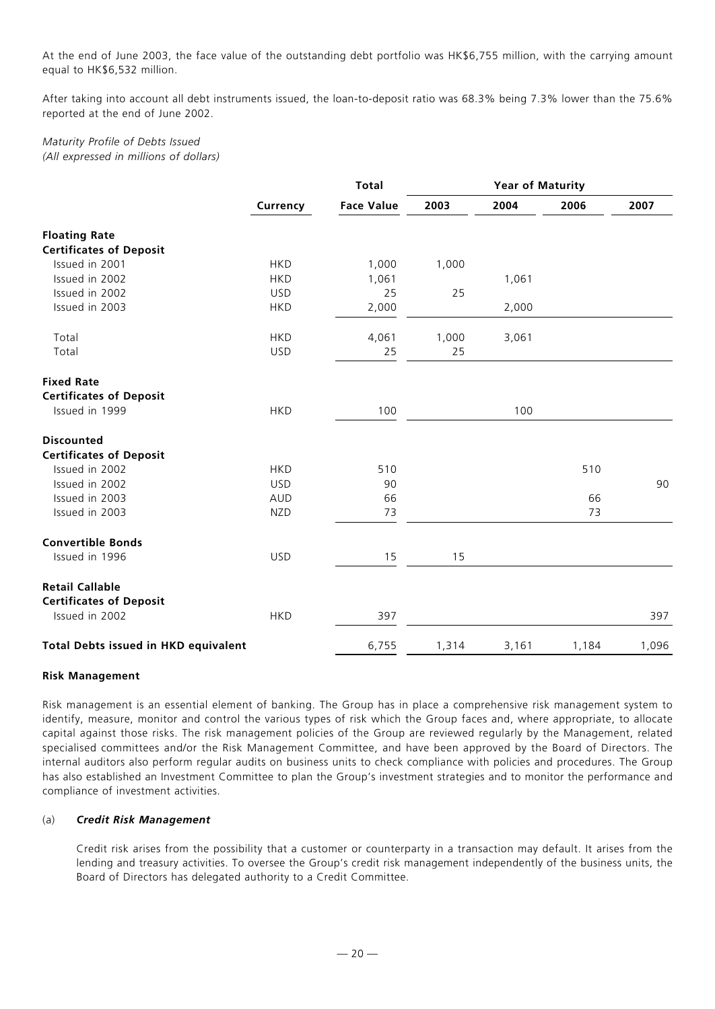At the end of June 2003, the face value of the outstanding debt portfolio was HK\$6,755 million, with the carrying amount equal to HK\$6,532 million.

After taking into account all debt instruments issued, the loan-to-deposit ratio was 68.3% being 7.3% lower than the 75.6% reported at the end of June 2002.

# *Maturity Profile of Debts Issued (All expressed in millions of dollars)*

|                                             | <b>Total</b> |                   |       | <b>Year of Maturity</b> |       |       |  |
|---------------------------------------------|--------------|-------------------|-------|-------------------------|-------|-------|--|
|                                             | Currency     | <b>Face Value</b> | 2003  | 2004                    | 2006  | 2007  |  |
| <b>Floating Rate</b>                        |              |                   |       |                         |       |       |  |
| <b>Certificates of Deposit</b>              |              |                   |       |                         |       |       |  |
| Issued in 2001                              | <b>HKD</b>   | 1,000             | 1,000 |                         |       |       |  |
| Issued in 2002                              | <b>HKD</b>   | 1,061             |       | 1,061                   |       |       |  |
| Issued in 2002                              | <b>USD</b>   | 25                | 25    |                         |       |       |  |
| Issued in 2003                              | <b>HKD</b>   | 2,000             |       | 2,000                   |       |       |  |
| Total                                       | <b>HKD</b>   | 4,061             | 1,000 | 3,061                   |       |       |  |
| Total                                       | <b>USD</b>   | 25                | 25    |                         |       |       |  |
| <b>Fixed Rate</b>                           |              |                   |       |                         |       |       |  |
| <b>Certificates of Deposit</b>              |              |                   |       |                         |       |       |  |
| Issued in 1999                              | <b>HKD</b>   | 100               |       | 100                     |       |       |  |
| <b>Discounted</b>                           |              |                   |       |                         |       |       |  |
| <b>Certificates of Deposit</b>              |              |                   |       |                         |       |       |  |
| Issued in 2002                              | <b>HKD</b>   | 510               |       |                         | 510   |       |  |
| Issued in 2002                              | <b>USD</b>   | 90                |       |                         |       | 90    |  |
| Issued in 2003                              | <b>AUD</b>   | 66                |       |                         | 66    |       |  |
| Issued in 2003                              | <b>NZD</b>   | 73                |       |                         | 73    |       |  |
| <b>Convertible Bonds</b>                    |              |                   |       |                         |       |       |  |
| Issued in 1996                              | <b>USD</b>   | 15                | 15    |                         |       |       |  |
| <b>Retail Callable</b>                      |              |                   |       |                         |       |       |  |
| <b>Certificates of Deposit</b>              |              |                   |       |                         |       |       |  |
| Issued in 2002                              | <b>HKD</b>   | 397               |       |                         |       | 397   |  |
| <b>Total Debts issued in HKD equivalent</b> |              | 6,755             | 1,314 | 3,161                   | 1,184 | 1,096 |  |

## **Risk Management**

Risk management is an essential element of banking. The Group has in place a comprehensive risk management system to identify, measure, monitor and control the various types of risk which the Group faces and, where appropriate, to allocate capital against those risks. The risk management policies of the Group are reviewed regularly by the Management, related specialised committees and/or the Risk Management Committee, and have been approved by the Board of Directors. The internal auditors also perform regular audits on business units to check compliance with policies and procedures. The Group has also established an Investment Committee to plan the Group's investment strategies and to monitor the performance and compliance of investment activities.

## (a) *Credit Risk Management*

Credit risk arises from the possibility that a customer or counterparty in a transaction may default. It arises from the lending and treasury activities. To oversee the Group's credit risk management independently of the business units, the Board of Directors has delegated authority to a Credit Committee.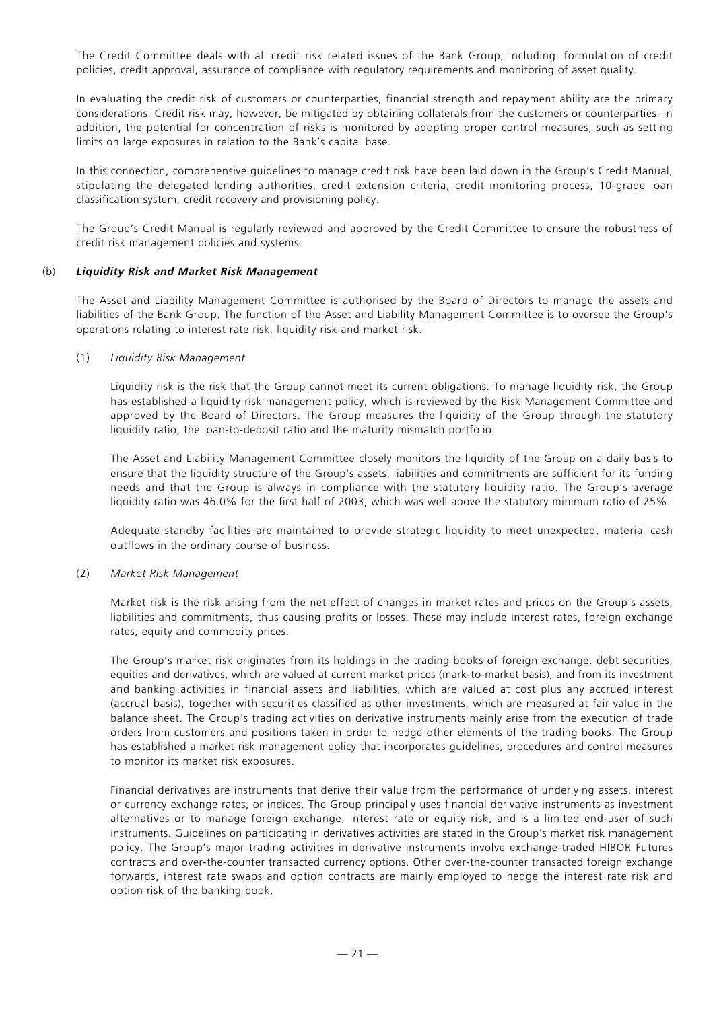The Credit Committee deals with all credit risk related issues of the Bank Group, including: formulation of credit policies, credit approval, assurance of compliance with regulatory requirements and monitoring of asset quality.

In evaluating the credit risk of customers or counterparties, financial strength and repayment ability are the primary considerations. Credit risk may, however, be mitigated by obtaining collaterals from the customers or counterparties. In addition, the potential for concentration of risks is monitored by adopting proper control measures, such as setting limits on large exposures in relation to the Bank's capital base.

In this connection, comprehensive guidelines to manage credit risk have been laid down in the Group's Credit Manual, stipulating the delegated lending authorities, credit extension criteria, credit monitoring process, 10-grade loan classification system, credit recovery and provisioning policy.

The Group's Credit Manual is regularly reviewed and approved by the Credit Committee to ensure the robustness of credit risk management policies and systems.

## (b) *Liquidity Risk and Market Risk Management*

The Asset and Liability Management Committee is authorised by the Board of Directors to manage the assets and liabilities of the Bank Group. The function of the Asset and Liability Management Committee is to oversee the Group's operations relating to interest rate risk, liquidity risk and market risk.

## (1) *Liquidity Risk Management*

Liquidity risk is the risk that the Group cannot meet its current obligations. To manage liquidity risk, the Group has established a liquidity risk management policy, which is reviewed by the Risk Management Committee and approved by the Board of Directors. The Group measures the liquidity of the Group through the statutory liquidity ratio, the loan-to-deposit ratio and the maturity mismatch portfolio.

The Asset and Liability Management Committee closely monitors the liquidity of the Group on a daily basis to ensure that the liquidity structure of the Group's assets, liabilities and commitments are sufficient for its funding needs and that the Group is always in compliance with the statutory liquidity ratio. The Group's average liquidity ratio was 46.0% for the first half of 2003, which was well above the statutory minimum ratio of 25%.

Adequate standby facilities are maintained to provide strategic liquidity to meet unexpected, material cash outflows in the ordinary course of business.

## (2) *Market Risk Management*

Market risk is the risk arising from the net effect of changes in market rates and prices on the Group's assets, liabilities and commitments, thus causing profits or losses. These may include interest rates, foreign exchange rates, equity and commodity prices.

The Group's market risk originates from its holdings in the trading books of foreign exchange, debt securities, equities and derivatives, which are valued at current market prices (mark-to-market basis), and from its investment and banking activities in financial assets and liabilities, which are valued at cost plus any accrued interest (accrual basis), together with securities classified as other investments, which are measured at fair value in the balance sheet. The Group's trading activities on derivative instruments mainly arise from the execution of trade orders from customers and positions taken in order to hedge other elements of the trading books. The Group has established a market risk management policy that incorporates guidelines, procedures and control measures to monitor its market risk exposures.

Financial derivatives are instruments that derive their value from the performance of underlying assets, interest or currency exchange rates, or indices. The Group principally uses financial derivative instruments as investment alternatives or to manage foreign exchange, interest rate or equity risk, and is a limited end-user of such instruments. Guidelines on participating in derivatives activities are stated in the Group's market risk management policy. The Group's major trading activities in derivative instruments involve exchange-traded HIBOR Futures contracts and over-the-counter transacted currency options. Other over-the-counter transacted foreign exchange forwards, interest rate swaps and option contracts are mainly employed to hedge the interest rate risk and option risk of the banking book.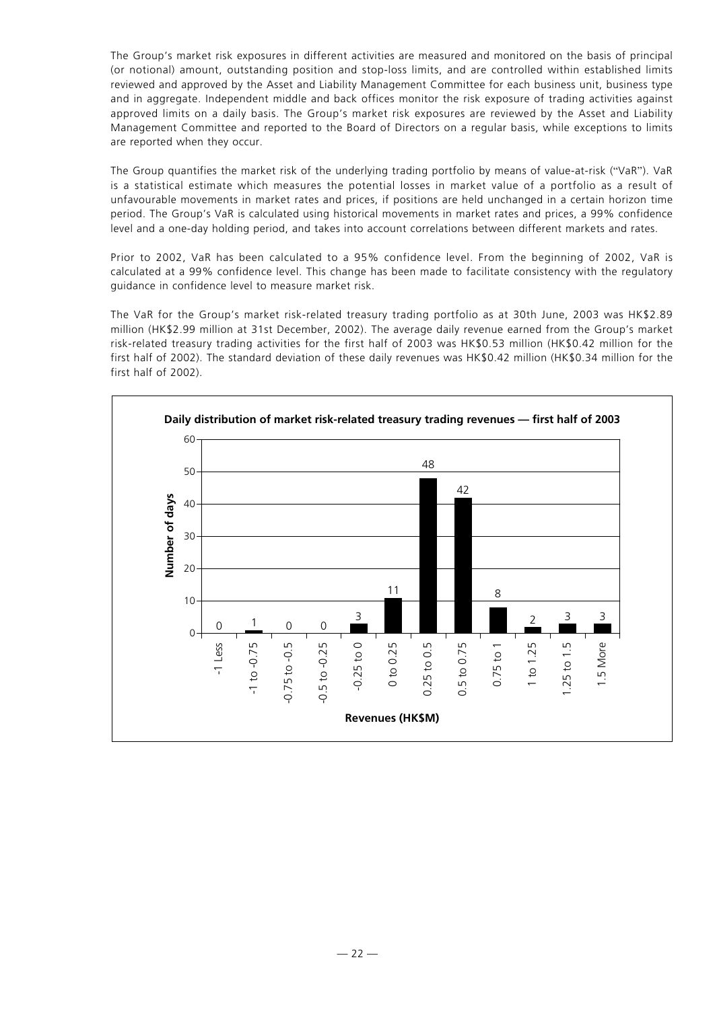The Group's market risk exposures in different activities are measured and monitored on the basis of principal (or notional) amount, outstanding position and stop-loss limits, and are controlled within established limits reviewed and approved by the Asset and Liability Management Committee for each business unit, business type and in aggregate. Independent middle and back offices monitor the risk exposure of trading activities against approved limits on a daily basis. The Group's market risk exposures are reviewed by the Asset and Liability Management Committee and reported to the Board of Directors on a regular basis, while exceptions to limits are reported when they occur.

The Group quantifies the market risk of the underlying trading portfolio by means of value-at-risk ("VaR"). VaR is a statistical estimate which measures the potential losses in market value of a portfolio as a result of unfavourable movements in market rates and prices, if positions are held unchanged in a certain horizon time period. The Group's VaR is calculated using historical movements in market rates and prices, a 99% confidence level and a one-day holding period, and takes into account correlations between different markets and rates.

Prior to 2002, VaR has been calculated to a 95% confidence level. From the beginning of 2002, VaR is calculated at a 99% confidence level. This change has been made to facilitate consistency with the regulatory guidance in confidence level to measure market risk.

The VaR for the Group's market risk-related treasury trading portfolio as at 30th June, 2003 was HK\$2.89 million (HK\$2.99 million at 31st December, 2002). The average daily revenue earned from the Group's market risk-related treasury trading activities for the first half of 2003 was HK\$0.53 million (HK\$0.42 million for the first half of 2002). The standard deviation of these daily revenues was HK\$0.42 million (HK\$0.34 million for the first half of 2002).

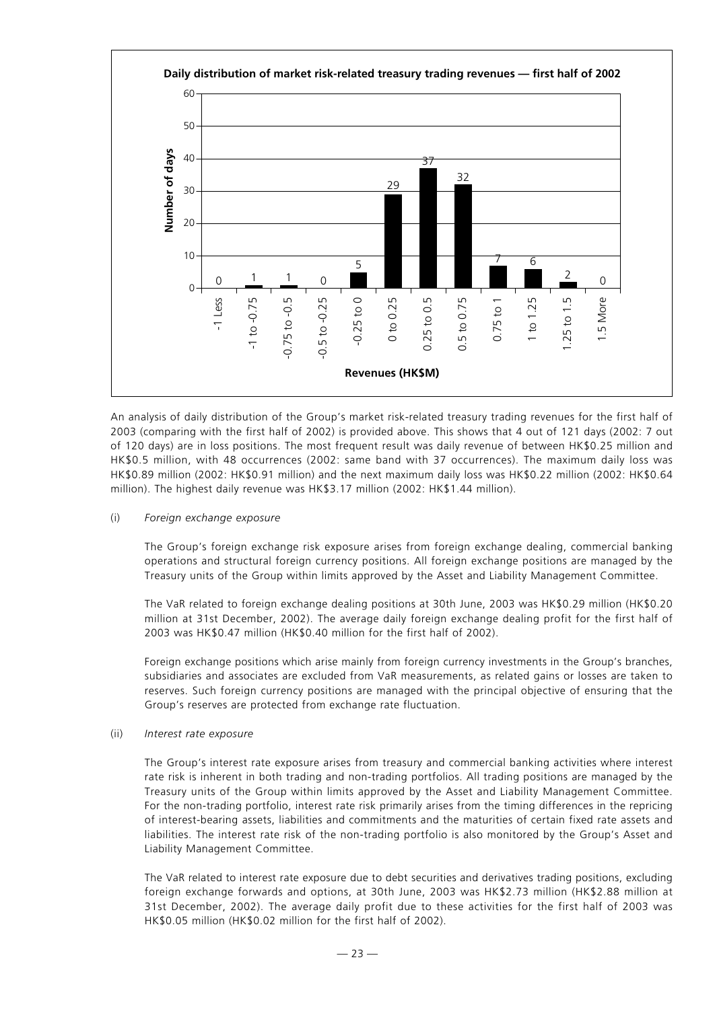

An analysis of daily distribution of the Group's market risk-related treasury trading revenues for the first half of 2003 (comparing with the first half of 2002) is provided above. This shows that 4 out of 121 days (2002: 7 out of 120 days) are in loss positions. The most frequent result was daily revenue of between HK\$0.25 million and HK\$0.5 million, with 48 occurrences (2002: same band with 37 occurrences). The maximum daily loss was HK\$0.89 million (2002: HK\$0.91 million) and the next maximum daily loss was HK\$0.22 million (2002: HK\$0.64 million). The highest daily revenue was HK\$3.17 million (2002: HK\$1.44 million).

#### (i) *Foreign exchange exposure*

The Group's foreign exchange risk exposure arises from foreign exchange dealing, commercial banking operations and structural foreign currency positions. All foreign exchange positions are managed by the Treasury units of the Group within limits approved by the Asset and Liability Management Committee.

The VaR related to foreign exchange dealing positions at 30th June, 2003 was HK\$0.29 million (HK\$0.20 million at 31st December, 2002). The average daily foreign exchange dealing profit for the first half of 2003 was HK\$0.47 million (HK\$0.40 million for the first half of 2002).

Foreign exchange positions which arise mainly from foreign currency investments in the Group's branches, subsidiaries and associates are excluded from VaR measurements, as related gains or losses are taken to reserves. Such foreign currency positions are managed with the principal objective of ensuring that the Group's reserves are protected from exchange rate fluctuation.

## (ii) *Interest rate exposure*

The Group's interest rate exposure arises from treasury and commercial banking activities where interest rate risk is inherent in both trading and non-trading portfolios. All trading positions are managed by the Treasury units of the Group within limits approved by the Asset and Liability Management Committee. For the non-trading portfolio, interest rate risk primarily arises from the timing differences in the repricing of interest-bearing assets, liabilities and commitments and the maturities of certain fixed rate assets and liabilities. The interest rate risk of the non-trading portfolio is also monitored by the Group's Asset and Liability Management Committee.

The VaR related to interest rate exposure due to debt securities and derivatives trading positions, excluding foreign exchange forwards and options, at 30th June, 2003 was HK\$2.73 million (HK\$2.88 million at 31st December, 2002). The average daily profit due to these activities for the first half of 2003 was HK\$0.05 million (HK\$0.02 million for the first half of 2002).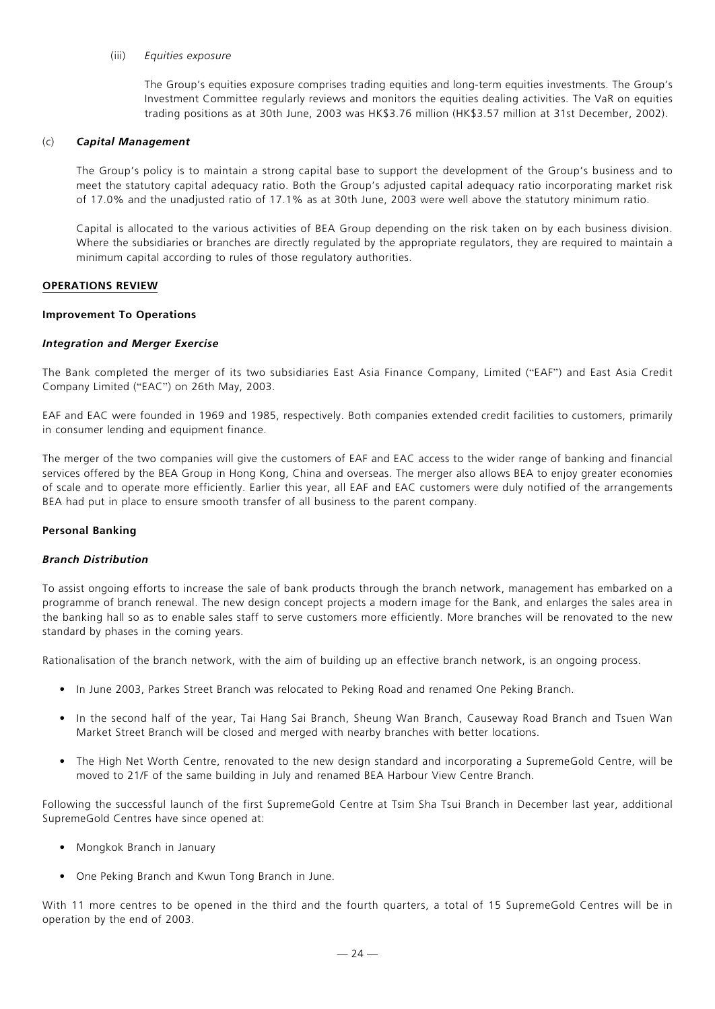#### (iii) *Equities exposure*

The Group's equities exposure comprises trading equities and long-term equities investments. The Group's Investment Committee regularly reviews and monitors the equities dealing activities. The VaR on equities trading positions as at 30th June, 2003 was HK\$3.76 million (HK\$3.57 million at 31st December, 2002).

#### (c) *Capital Management*

The Group's policy is to maintain a strong capital base to support the development of the Group's business and to meet the statutory capital adequacy ratio. Both the Group's adjusted capital adequacy ratio incorporating market risk of 17.0% and the unadjusted ratio of 17.1% as at 30th June, 2003 were well above the statutory minimum ratio.

Capital is allocated to the various activities of BEA Group depending on the risk taken on by each business division. Where the subsidiaries or branches are directly regulated by the appropriate regulators, they are reguired to maintain a minimum capital according to rules of those regulatory authorities.

#### **OPERATIONS REVIEW**

#### **Improvement To Operations**

#### *Integration and Merger Exercise*

The Bank completed the merger of its two subsidiaries East Asia Finance Company, Limited ("EAF") and East Asia Credit Company Limited ("EAC") on 26th May, 2003.

EAF and EAC were founded in 1969 and 1985, respectively. Both companies extended credit facilities to customers, primarily in consumer lending and equipment finance.

The merger of the two companies will give the customers of EAF and EAC access to the wider range of banking and financial services offered by the BEA Group in Hong Kong, China and overseas. The merger also allows BEA to enjoy greater economies of scale and to operate more efficiently. Earlier this year, all EAF and EAC customers were duly notified of the arrangements BEA had put in place to ensure smooth transfer of all business to the parent company.

#### **Personal Banking**

#### *Branch Distribution*

To assist ongoing efforts to increase the sale of bank products through the branch network, management has embarked on a programme of branch renewal. The new design concept projects a modern image for the Bank, and enlarges the sales area in the banking hall so as to enable sales staff to serve customers more efficiently. More branches will be renovated to the new standard by phases in the coming years.

Rationalisation of the branch network, with the aim of building up an effective branch network, is an ongoing process.

- In June 2003, Parkes Street Branch was relocated to Peking Road and renamed One Peking Branch.
- In the second half of the year, Tai Hang Sai Branch, Sheung Wan Branch, Causeway Road Branch and Tsuen Wan Market Street Branch will be closed and merged with nearby branches with better locations.
- The High Net Worth Centre, renovated to the new design standard and incorporating a SupremeGold Centre, will be moved to 21/F of the same building in July and renamed BEA Harbour View Centre Branch.

Following the successful launch of the first SupremeGold Centre at Tsim Sha Tsui Branch in December last year, additional SupremeGold Centres have since opened at:

- Mongkok Branch in January
- One Peking Branch and Kwun Tong Branch in June.

With 11 more centres to be opened in the third and the fourth quarters, a total of 15 SupremeGold Centres will be in operation by the end of 2003.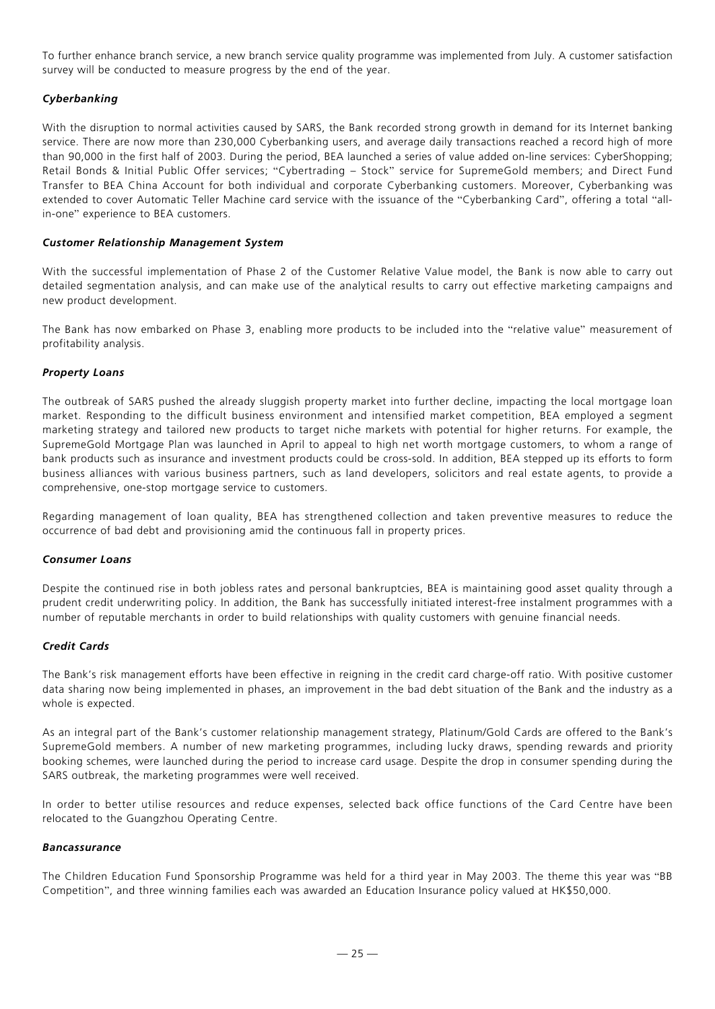To further enhance branch service, a new branch service quality programme was implemented from July. A customer satisfaction survey will be conducted to measure progress by the end of the year.

# *Cyberbanking*

With the disruption to normal activities caused by SARS, the Bank recorded strong growth in demand for its Internet banking service. There are now more than 230,000 Cyberbanking users, and average daily transactions reached a record high of more than 90,000 in the first half of 2003. During the period, BEA launched a series of value added on-line services: CyberShopping; Retail Bonds & Initial Public Offer services; "Cybertrading – Stock" service for SupremeGold members; and Direct Fund Transfer to BEA China Account for both individual and corporate Cyberbanking customers. Moreover, Cyberbanking was extended to cover Automatic Teller Machine card service with the issuance of the "Cyberbanking Card", offering a total "allin-one" experience to BEA customers.

## *Customer Relationship Management System*

With the successful implementation of Phase 2 of the Customer Relative Value model, the Bank is now able to carry out detailed segmentation analysis, and can make use of the analytical results to carry out effective marketing campaigns and new product development.

The Bank has now embarked on Phase 3, enabling more products to be included into the "relative value" measurement of profitability analysis.

## *Property Loans*

The outbreak of SARS pushed the already sluggish property market into further decline, impacting the local mortgage loan market. Responding to the difficult business environment and intensified market competition, BEA employed a segment marketing strategy and tailored new products to target niche markets with potential for higher returns. For example, the SupremeGold Mortgage Plan was launched in April to appeal to high net worth mortgage customers, to whom a range of bank products such as insurance and investment products could be cross-sold. In addition, BEA stepped up its efforts to form business alliances with various business partners, such as land developers, solicitors and real estate agents, to provide a comprehensive, one-stop mortgage service to customers.

Regarding management of loan quality, BEA has strengthened collection and taken preventive measures to reduce the occurrence of bad debt and provisioning amid the continuous fall in property prices.

## *Consumer Loans*

Despite the continued rise in both jobless rates and personal bankruptcies, BEA is maintaining good asset quality through a prudent credit underwriting policy. In addition, the Bank has successfully initiated interest-free instalment programmes with a number of reputable merchants in order to build relationships with quality customers with genuine financial needs.

## *Credit Cards*

The Bank's risk management efforts have been effective in reigning in the credit card charge-off ratio. With positive customer data sharing now being implemented in phases, an improvement in the bad debt situation of the Bank and the industry as a whole is expected.

As an integral part of the Bank's customer relationship management strategy, Platinum/Gold Cards are offered to the Bank's SupremeGold members. A number of new marketing programmes, including lucky draws, spending rewards and priority booking schemes, were launched during the period to increase card usage. Despite the drop in consumer spending during the SARS outbreak, the marketing programmes were well received.

In order to better utilise resources and reduce expenses, selected back office functions of the Card Centre have been relocated to the Guangzhou Operating Centre.

## *Bancassurance*

The Children Education Fund Sponsorship Programme was held for a third year in May 2003. The theme this year was "BB Competition", and three winning families each was awarded an Education Insurance policy valued at HK\$50,000.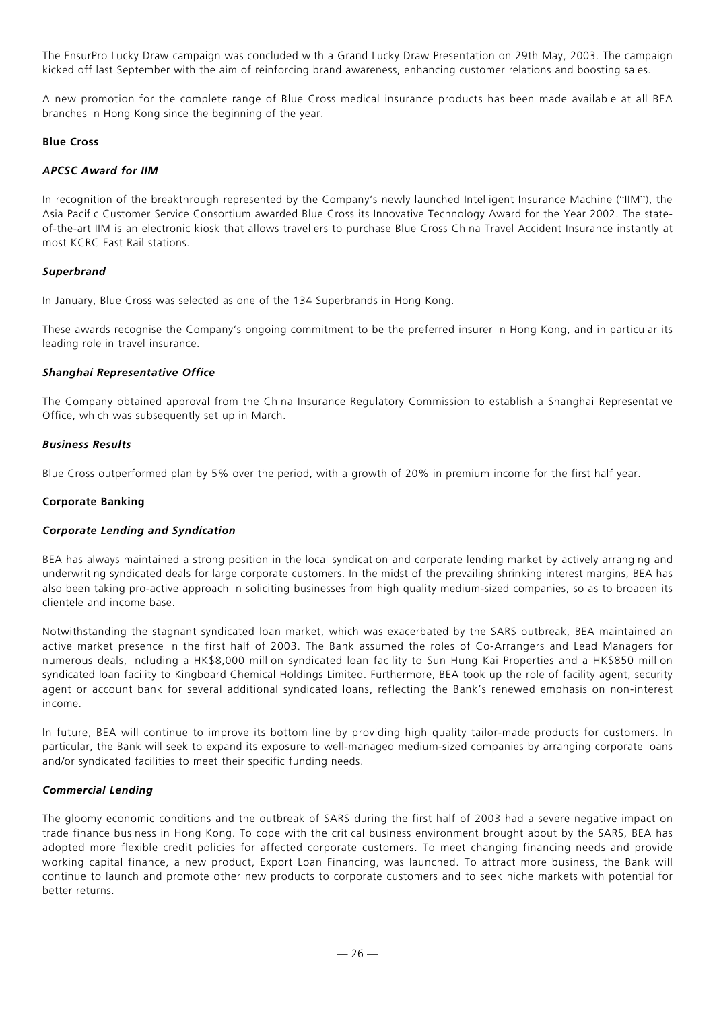The EnsurPro Lucky Draw campaign was concluded with a Grand Lucky Draw Presentation on 29th May, 2003. The campaign kicked off last September with the aim of reinforcing brand awareness, enhancing customer relations and boosting sales.

A new promotion for the complete range of Blue Cross medical insurance products has been made available at all BEA branches in Hong Kong since the beginning of the year.

## **Blue Cross**

#### *APCSC Award for IIM*

In recognition of the breakthrough represented by the Company's newly launched Intelligent Insurance Machine ("IIM"), the Asia Pacific Customer Service Consortium awarded Blue Cross its Innovative Technology Award for the Year 2002. The stateof-the-art IIM is an electronic kiosk that allows travellers to purchase Blue Cross China Travel Accident Insurance instantly at most KCRC East Rail stations.

## *Superbrand*

In January, Blue Cross was selected as one of the 134 Superbrands in Hong Kong.

These awards recognise the Company's ongoing commitment to be the preferred insurer in Hong Kong, and in particular its leading role in travel insurance.

#### *Shanghai Representative Office*

The Company obtained approval from the China Insurance Regulatory Commission to establish a Shanghai Representative Office, which was subsequently set up in March.

#### *Business Results*

Blue Cross outperformed plan by 5% over the period, with a growth of 20% in premium income for the first half year.

#### **Corporate Banking**

## *Corporate Lending and Syndication*

BEA has always maintained a strong position in the local syndication and corporate lending market by actively arranging and underwriting syndicated deals for large corporate customers. In the midst of the prevailing shrinking interest margins, BEA has also been taking pro-active approach in soliciting businesses from high quality medium-sized companies, so as to broaden its clientele and income base.

Notwithstanding the stagnant syndicated loan market, which was exacerbated by the SARS outbreak, BEA maintained an active market presence in the first half of 2003. The Bank assumed the roles of Co-Arrangers and Lead Managers for numerous deals, including a HK\$8,000 million syndicated loan facility to Sun Hung Kai Properties and a HK\$850 million syndicated loan facility to Kingboard Chemical Holdings Limited. Furthermore, BEA took up the role of facility agent, security agent or account bank for several additional syndicated loans, reflecting the Bank's renewed emphasis on non-interest income.

In future, BEA will continue to improve its bottom line by providing high quality tailor-made products for customers. In particular, the Bank will seek to expand its exposure to well-managed medium-sized companies by arranging corporate loans and/or syndicated facilities to meet their specific funding needs.

## *Commercial Lending*

The gloomy economic conditions and the outbreak of SARS during the first half of 2003 had a severe negative impact on trade finance business in Hong Kong. To cope with the critical business environment brought about by the SARS, BEA has adopted more flexible credit policies for affected corporate customers. To meet changing financing needs and provide working capital finance, a new product, Export Loan Financing, was launched. To attract more business, the Bank will continue to launch and promote other new products to corporate customers and to seek niche markets with potential for better returns.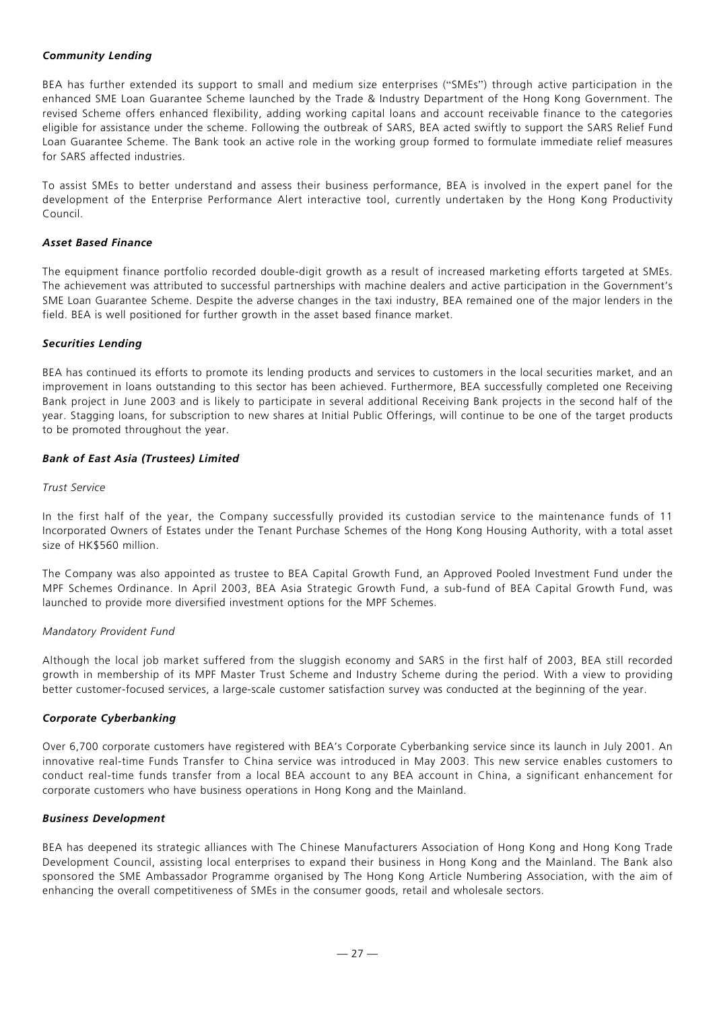# *Community Lending*

BEA has further extended its support to small and medium size enterprises ("SMEs") through active participation in the enhanced SME Loan Guarantee Scheme launched by the Trade & Industry Department of the Hong Kong Government. The revised Scheme offers enhanced flexibility, adding working capital loans and account receivable finance to the categories eligible for assistance under the scheme. Following the outbreak of SARS, BEA acted swiftly to support the SARS Relief Fund Loan Guarantee Scheme. The Bank took an active role in the working group formed to formulate immediate relief measures for SARS affected industries.

To assist SMEs to better understand and assess their business performance, BEA is involved in the expert panel for the development of the Enterprise Performance Alert interactive tool, currently undertaken by the Hong Kong Productivity Council.

## *Asset Based Finance*

The equipment finance portfolio recorded double-digit growth as a result of increased marketing efforts targeted at SMEs. The achievement was attributed to successful partnerships with machine dealers and active participation in the Government's SME Loan Guarantee Scheme. Despite the adverse changes in the taxi industry, BEA remained one of the major lenders in the field. BEA is well positioned for further growth in the asset based finance market.

## *Securities Lending*

BEA has continued its efforts to promote its lending products and services to customers in the local securities market, and an improvement in loans outstanding to this sector has been achieved. Furthermore, BEA successfully completed one Receiving Bank project in June 2003 and is likely to participate in several additional Receiving Bank projects in the second half of the year. Stagging loans, for subscription to new shares at Initial Public Offerings, will continue to be one of the target products to be promoted throughout the year.

# *Bank of East Asia (Trustees) Limited*

# *Trust Service*

In the first half of the year, the Company successfully provided its custodian service to the maintenance funds of 11 Incorporated Owners of Estates under the Tenant Purchase Schemes of the Hong Kong Housing Authority, with a total asset size of HK\$560 million.

The Company was also appointed as trustee to BEA Capital Growth Fund, an Approved Pooled Investment Fund under the MPF Schemes Ordinance. In April 2003, BEA Asia Strategic Growth Fund, a sub-fund of BEA Capital Growth Fund, was launched to provide more diversified investment options for the MPF Schemes.

## *Mandatory Provident Fund*

Although the local job market suffered from the sluggish economy and SARS in the first half of 2003, BEA still recorded growth in membership of its MPF Master Trust Scheme and Industry Scheme during the period. With a view to providing better customer-focused services, a large-scale customer satisfaction survey was conducted at the beginning of the year.

## *Corporate Cyberbanking*

Over 6,700 corporate customers have registered with BEA's Corporate Cyberbanking service since its launch in July 2001. An innovative real-time Funds Transfer to China service was introduced in May 2003. This new service enables customers to conduct real-time funds transfer from a local BEA account to any BEA account in China, a significant enhancement for corporate customers who have business operations in Hong Kong and the Mainland.

## *Business Development*

BEA has deepened its strategic alliances with The Chinese Manufacturers Association of Hong Kong and Hong Kong Trade Development Council, assisting local enterprises to expand their business in Hong Kong and the Mainland. The Bank also sponsored the SME Ambassador Programme organised by The Hong Kong Article Numbering Association, with the aim of enhancing the overall competitiveness of SMEs in the consumer goods, retail and wholesale sectors.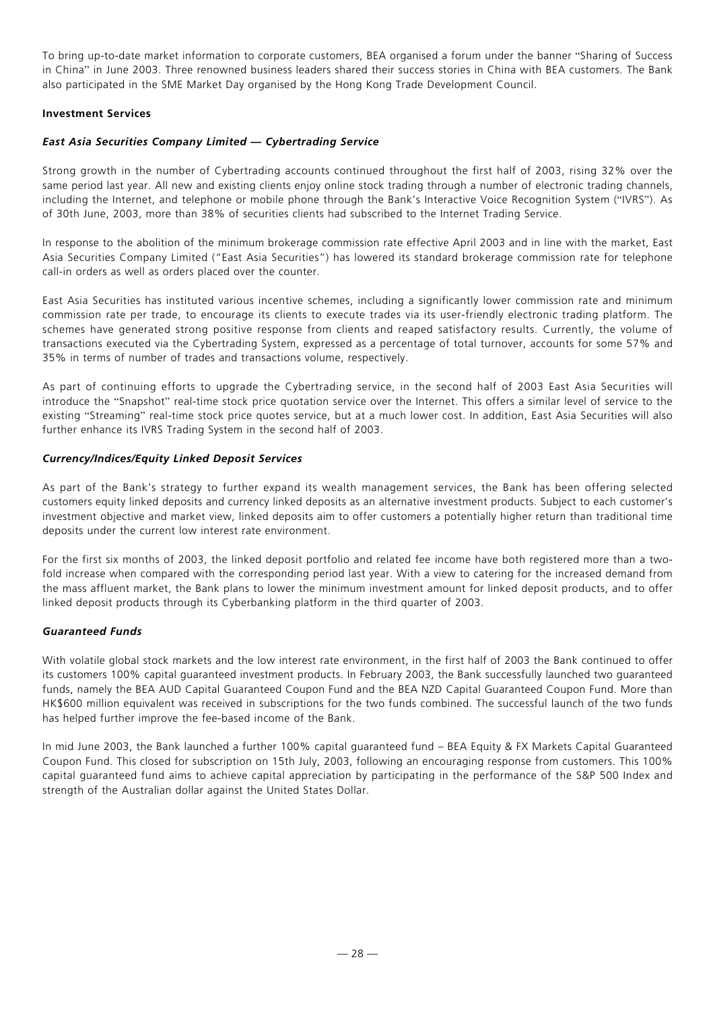To bring up-to-date market information to corporate customers, BEA organised a forum under the banner "Sharing of Success in China" in June 2003. Three renowned business leaders shared their success stories in China with BEA customers. The Bank also participated in the SME Market Day organised by the Hong Kong Trade Development Council.

# **Investment Services**

# *East Asia Securities Company Limited — Cybertrading Service*

Strong growth in the number of Cybertrading accounts continued throughout the first half of 2003, rising 32% over the same period last year. All new and existing clients enjoy online stock trading through a number of electronic trading channels, including the Internet, and telephone or mobile phone through the Bank's Interactive Voice Recognition System ("IVRS"). As of 30th June, 2003, more than 38% of securities clients had subscribed to the Internet Trading Service.

In response to the abolition of the minimum brokerage commission rate effective April 2003 and in line with the market, East Asia Securities Company Limited ("East Asia Securities") has lowered its standard brokerage commission rate for telephone call-in orders as well as orders placed over the counter.

East Asia Securities has instituted various incentive schemes, including a significantly lower commission rate and minimum commission rate per trade, to encourage its clients to execute trades via its user-friendly electronic trading platform. The schemes have generated strong positive response from clients and reaped satisfactory results. Currently, the volume of transactions executed via the Cybertrading System, expressed as a percentage of total turnover, accounts for some 57% and 35% in terms of number of trades and transactions volume, respectively.

As part of continuing efforts to upgrade the Cybertrading service, in the second half of 2003 East Asia Securities will introduce the "Snapshot" real-time stock price quotation service over the Internet. This offers a similar level of service to the existing "Streaming" real-time stock price quotes service, but at a much lower cost. In addition, East Asia Securities will also further enhance its IVRS Trading System in the second half of 2003.

# *Currency/Indices/Equity Linked Deposit Services*

As part of the Bank's strategy to further expand its wealth management services, the Bank has been offering selected customers equity linked deposits and currency linked deposits as an alternative investment products. Subject to each customer's investment objective and market view, linked deposits aim to offer customers a potentially higher return than traditional time deposits under the current low interest rate environment.

For the first six months of 2003, the linked deposit portfolio and related fee income have both registered more than a twofold increase when compared with the corresponding period last year. With a view to catering for the increased demand from the mass affluent market, the Bank plans to lower the minimum investment amount for linked deposit products, and to offer linked deposit products through its Cyberbanking platform in the third quarter of 2003.

## *Guaranteed Funds*

With volatile global stock markets and the low interest rate environment, in the first half of 2003 the Bank continued to offer its customers 100% capital guaranteed investment products. In February 2003, the Bank successfully launched two guaranteed funds, namely the BEA AUD Capital Guaranteed Coupon Fund and the BEA NZD Capital Guaranteed Coupon Fund. More than HK\$600 million equivalent was received in subscriptions for the two funds combined. The successful launch of the two funds has helped further improve the fee-based income of the Bank.

In mid June 2003, the Bank launched a further 100% capital guaranteed fund – BEA Equity & FX Markets Capital Guaranteed Coupon Fund. This closed for subscription on 15th July, 2003, following an encouraging response from customers. This 100% capital guaranteed fund aims to achieve capital appreciation by participating in the performance of the S&P 500 Index and strength of the Australian dollar against the United States Dollar.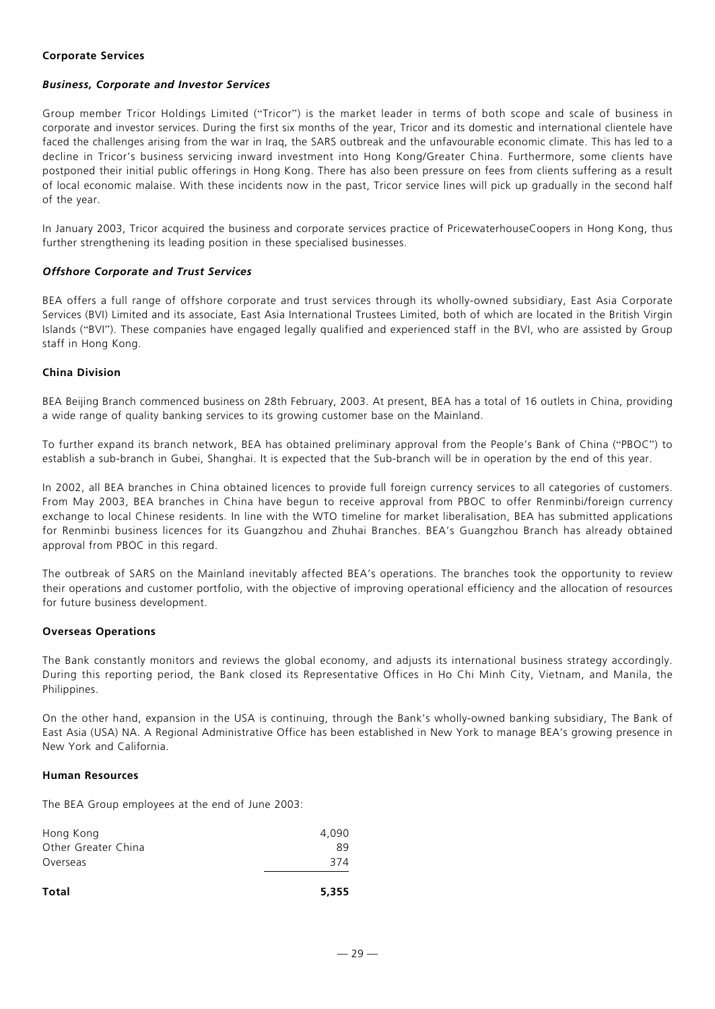## **Corporate Services**

## *Business, Corporate and Investor Services*

Group member Tricor Holdings Limited ("Tricor") is the market leader in terms of both scope and scale of business in corporate and investor services. During the first six months of the year, Tricor and its domestic and international clientele have faced the challenges arising from the war in Iraq, the SARS outbreak and the unfavourable economic climate. This has led to a decline in Tricor's business servicing inward investment into Hong Kong/Greater China. Furthermore, some clients have postponed their initial public offerings in Hong Kong. There has also been pressure on fees from clients suffering as a result of local economic malaise. With these incidents now in the past, Tricor service lines will pick up gradually in the second half of the year.

In January 2003, Tricor acquired the business and corporate services practice of PricewaterhouseCoopers in Hong Kong, thus further strengthening its leading position in these specialised businesses.

## *Offshore Corporate and Trust Services*

BEA offers a full range of offshore corporate and trust services through its wholly-owned subsidiary, East Asia Corporate Services (BVI) Limited and its associate, East Asia International Trustees Limited, both of which are located in the British Virgin Islands ("BVI"). These companies have engaged legally qualified and experienced staff in the BVI, who are assisted by Group staff in Hong Kong.

## **China Division**

BEA Beijing Branch commenced business on 28th February, 2003. At present, BEA has a total of 16 outlets in China, providing a wide range of quality banking services to its growing customer base on the Mainland.

To further expand its branch network, BEA has obtained preliminary approval from the People's Bank of China ("PBOC") to establish a sub-branch in Gubei, Shanghai. It is expected that the Sub-branch will be in operation by the end of this year.

In 2002, all BEA branches in China obtained licences to provide full foreign currency services to all categories of customers. From May 2003, BEA branches in China have begun to receive approval from PBOC to offer Renminbi/foreign currency exchange to local Chinese residents. In line with the WTO timeline for market liberalisation, BEA has submitted applications for Renminbi business licences for its Guangzhou and Zhuhai Branches. BEA's Guangzhou Branch has already obtained approval from PBOC in this regard.

The outbreak of SARS on the Mainland inevitably affected BEA's operations. The branches took the opportunity to review their operations and customer portfolio, with the objective of improving operational efficiency and the allocation of resources for future business development.

## **Overseas Operations**

The Bank constantly monitors and reviews the global economy, and adjusts its international business strategy accordingly. During this reporting period, the Bank closed its Representative Offices in Ho Chi Minh City, Vietnam, and Manila, the Philippines.

On the other hand, expansion in the USA is continuing, through the Bank's wholly-owned banking subsidiary, The Bank of East Asia (USA) NA. A Regional Administrative Office has been established in New York to manage BEA's growing presence in New York and California.

#### **Human Resources**

The BEA Group employees at the end of June 2003:

| Hong Kong           | 4,090 |
|---------------------|-------|
| Other Greater China | 89    |
| Overseas            | 374   |
|                     |       |

```
Total 5,355
```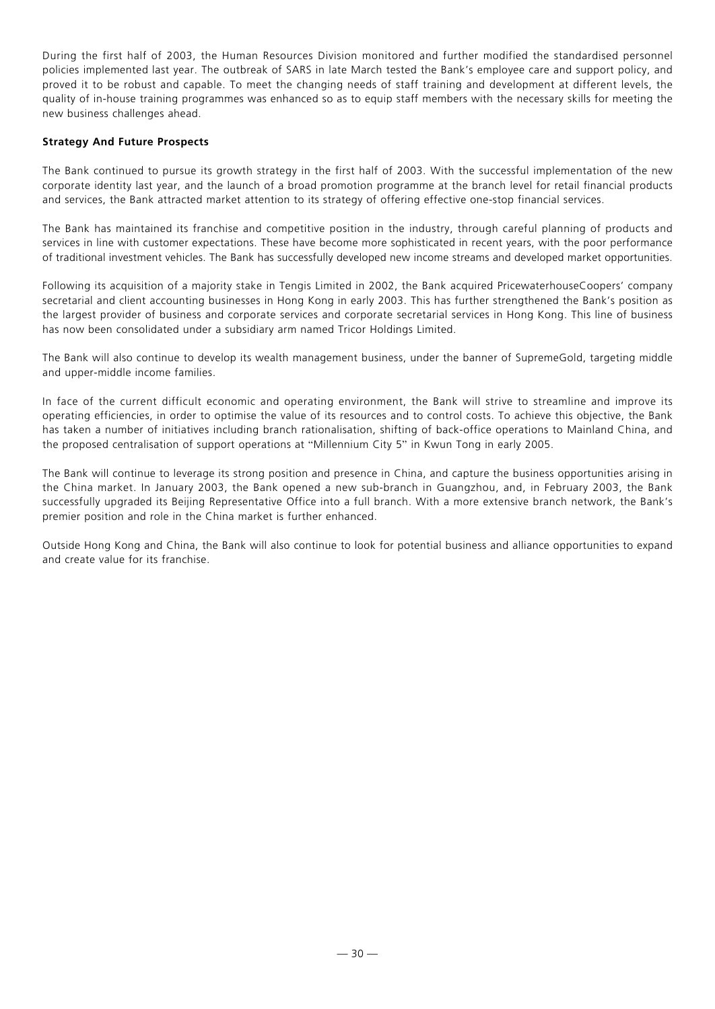During the first half of 2003, the Human Resources Division monitored and further modified the standardised personnel policies implemented last year. The outbreak of SARS in late March tested the Bank's employee care and support policy, and proved it to be robust and capable. To meet the changing needs of staff training and development at different levels, the quality of in-house training programmes was enhanced so as to equip staff members with the necessary skills for meeting the new business challenges ahead.

# **Strategy And Future Prospects**

The Bank continued to pursue its growth strategy in the first half of 2003. With the successful implementation of the new corporate identity last year, and the launch of a broad promotion programme at the branch level for retail financial products and services, the Bank attracted market attention to its strategy of offering effective one-stop financial services.

The Bank has maintained its franchise and competitive position in the industry, through careful planning of products and services in line with customer expectations. These have become more sophisticated in recent years, with the poor performance of traditional investment vehicles. The Bank has successfully developed new income streams and developed market opportunities.

Following its acquisition of a majority stake in Tengis Limited in 2002, the Bank acquired PricewaterhouseCoopers' company secretarial and client accounting businesses in Hong Kong in early 2003. This has further strengthened the Bank's position as the largest provider of business and corporate services and corporate secretarial services in Hong Kong. This line of business has now been consolidated under a subsidiary arm named Tricor Holdings Limited.

The Bank will also continue to develop its wealth management business, under the banner of SupremeGold, targeting middle and upper-middle income families.

In face of the current difficult economic and operating environment, the Bank will strive to streamline and improve its operating efficiencies, in order to optimise the value of its resources and to control costs. To achieve this objective, the Bank has taken a number of initiatives including branch rationalisation, shifting of back-office operations to Mainland China, and the proposed centralisation of support operations at "Millennium City 5" in Kwun Tong in early 2005.

The Bank will continue to leverage its strong position and presence in China, and capture the business opportunities arising in the China market. In January 2003, the Bank opened a new sub-branch in Guangzhou, and, in February 2003, the Bank successfully upgraded its Beijing Representative Office into a full branch. With a more extensive branch network, the Bank's premier position and role in the China market is further enhanced.

Outside Hong Kong and China, the Bank will also continue to look for potential business and alliance opportunities to expand and create value for its franchise.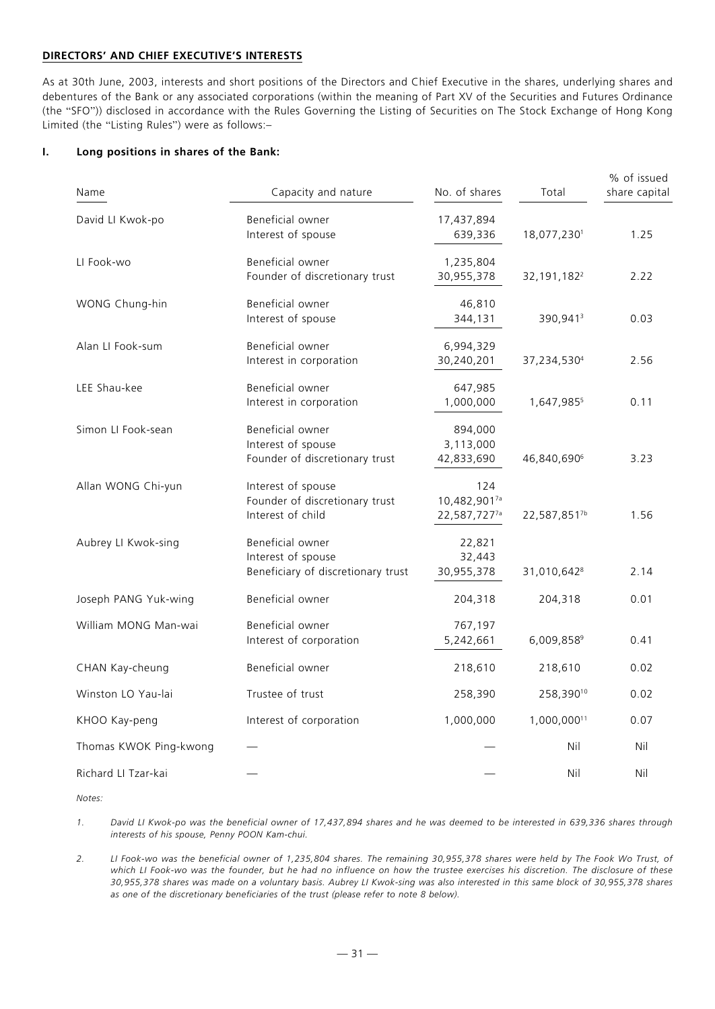## **DIRECTORS' AND CHIEF EXECUTIVE'S INTERESTS**

As at 30th June, 2003, interests and short positions of the Directors and Chief Executive in the shares, underlying shares and debentures of the Bank or any associated corporations (within the meaning of Part XV of the Securities and Futures Ordinance (the "SFO")) disclosed in accordance with the Rules Governing the Listing of Securities on The Stock Exchange of Hong Kong Limited (the "Listing Rules") were as follows:–

## **I. Long positions in shares of the Bank:**

| Name                   | Capacity and nature                                                          | No. of shares                       | Total                     | % of issued<br>share capital |
|------------------------|------------------------------------------------------------------------------|-------------------------------------|---------------------------|------------------------------|
| David LI Kwok-po       | Beneficial owner<br>Interest of spouse                                       | 17,437,894<br>639,336               | 18,077,2301               | 1.25                         |
| LI Fook-wo             | Beneficial owner<br>Founder of discretionary trust                           | 1,235,804<br>30,955,378             | 32, 191, 182 <sup>2</sup> | 2.22                         |
| WONG Chung-hin         | Beneficial owner<br>Interest of spouse                                       | 46,810<br>344,131                   | 390,941 <sup>3</sup>      | 0.03                         |
| Alan LI Fook-sum       | Beneficial owner<br>Interest in corporation                                  | 6,994,329<br>30,240,201             | 37,234,5304               | 2.56                         |
| LEE Shau-kee           | Beneficial owner<br>Interest in corporation                                  | 647,985<br>1,000,000                | 1,647,9855                | 0.11                         |
| Simon LI Fook-sean     | Beneficial owner<br>Interest of spouse<br>Founder of discretionary trust     | 894,000<br>3,113,000<br>42,833,690  | 46,840,690 <sup>6</sup>   | 3.23                         |
| Allan WONG Chi-yun     | Interest of spouse<br>Founder of discretionary trust<br>Interest of child    | 124<br>10,482,9017a<br>22,587,7277a | 22,587,8517b              | 1.56                         |
| Aubrey LI Kwok-sing    | Beneficial owner<br>Interest of spouse<br>Beneficiary of discretionary trust | 22,821<br>32,443<br>30,955,378      | 31,010,642 <sup>8</sup>   | 2.14                         |
| Joseph PANG Yuk-wing   | Beneficial owner                                                             | 204,318                             | 204,318                   | 0.01                         |
| William MONG Man-wai   | Beneficial owner<br>Interest of corporation                                  | 767,197<br>5,242,661                | 6,009,8589                | 0.41                         |
| CHAN Kay-cheung        | Beneficial owner                                                             | 218,610                             | 218,610                   | 0.02                         |
| Winston LO Yau-lai     | Trustee of trust                                                             | 258,390                             | 258,39010                 | 0.02                         |
| KHOO Kay-peng          | Interest of corporation                                                      | 1,000,000                           | 1,000,00011               | 0.07                         |
| Thomas KWOK Ping-kwong |                                                                              |                                     | Nil                       | Nil                          |
| Richard LI Tzar-kai    |                                                                              |                                     | Nil                       | Nil                          |

*Notes:*

*1. David LI Kwok-po was the beneficial owner of 17,437,894 shares and he was deemed to be interested in 639,336 shares through interests of his spouse, Penny POON Kam-chui.*

*2. LI Fook-wo was the beneficial owner of 1,235,804 shares. The remaining 30,955,378 shares were held by The Fook Wo Trust, of which LI Fook-wo was the founder, but he had no influence on how the trustee exercises his discretion. The disclosure of these 30,955,378 shares was made on a voluntary basis. Aubrey LI Kwok-sing was also interested in this same block of 30,955,378 shares as one of the discretionary beneficiaries of the trust (please refer to note 8 below).*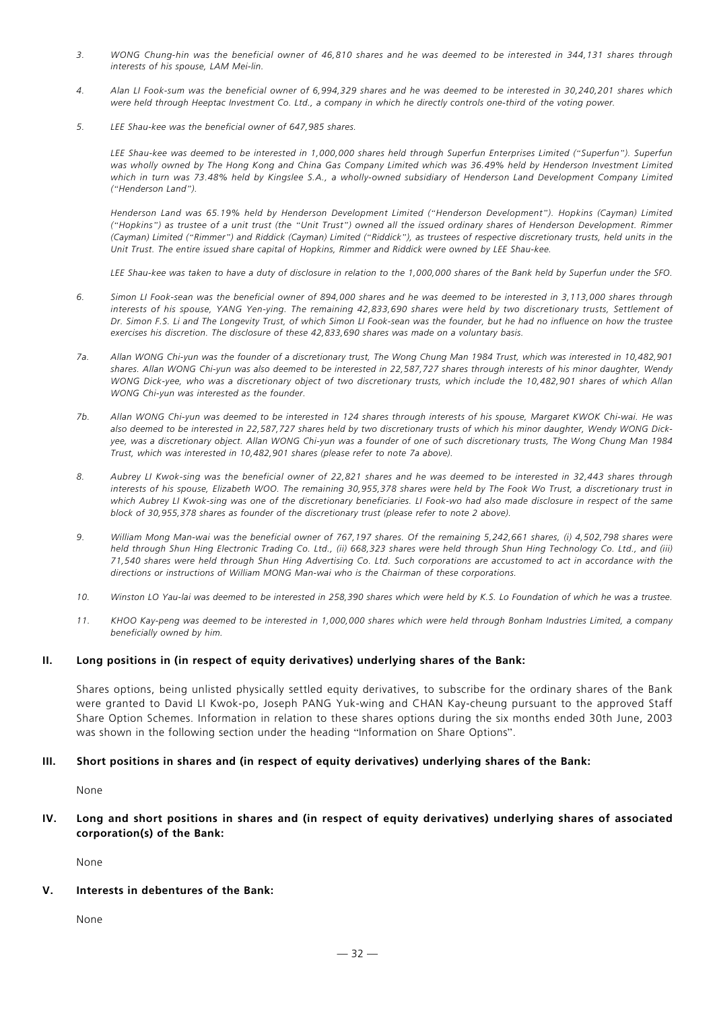- *3. WONG Chung-hin was the beneficial owner of 46,810 shares and he was deemed to be interested in 344,131 shares through interests of his spouse, LAM Mei-lin.*
- *4. Alan LI Fook-sum was the beneficial owner of 6,994,329 shares and he was deemed to be interested in 30,240,201 shares which were held through Heeptac Investment Co. Ltd., a company in which he directly controls one-third of the voting power.*
- *5. LEE Shau-kee was the beneficial owner of 647,985 shares.*

*LEE Shau-kee was deemed to be interested in 1,000,000 shares held through Superfun Enterprises Limited ("Superfun"). Superfun was wholly owned by The Hong Kong and China Gas Company Limited which was 36.49% held by Henderson Investment Limited which in turn was 73.48% held by Kingslee S.A., a wholly-owned subsidiary of Henderson Land Development Company Limited ("Henderson Land").*

*Henderson Land was 65.19% held by Henderson Development Limited ("Henderson Development"). Hopkins (Cayman) Limited ("Hopkins") as trustee of a unit trust (the "Unit Trust") owned all the issued ordinary shares of Henderson Development. Rimmer (Cayman) Limited ("Rimmer") and Riddick (Cayman) Limited ("Riddick"), as trustees of respective discretionary trusts, held units in the Unit Trust. The entire issued share capital of Hopkins, Rimmer and Riddick were owned by LEE Shau-kee.*

*LEE Shau-kee was taken to have a duty of disclosure in relation to the 1,000,000 shares of the Bank held by Superfun under the SFO.*

- *6. Simon LI Fook-sean was the beneficial owner of 894,000 shares and he was deemed to be interested in 3,113,000 shares through interests of his spouse, YANG Yen-ying. The remaining 42,833,690 shares were held by two discretionary trusts, Settlement of Dr. Simon F.S. Li and The Longevity Trust, of which Simon LI Fook-sean was the founder, but he had no influence on how the trustee exercises his discretion. The disclosure of these 42,833,690 shares was made on a voluntary basis.*
- *7a. Allan WONG Chi-yun was the founder of a discretionary trust, The Wong Chung Man 1984 Trust, which was interested in 10,482,901 shares. Allan WONG Chi-yun was also deemed to be interested in 22,587,727 shares through interests of his minor daughter, Wendy WONG Dick-yee, who was a discretionary object of two discretionary trusts, which include the 10,482,901 shares of which Allan WONG Chi-yun was interested as the founder.*
- *7b. Allan WONG Chi-yun was deemed to be interested in 124 shares through interests of his spouse, Margaret KWOK Chi-wai. He was also deemed to be interested in 22,587,727 shares held by two discretionary trusts of which his minor daughter, Wendy WONG Dickyee, was a discretionary object. Allan WONG Chi-yun was a founder of one of such discretionary trusts, The Wong Chung Man 1984 Trust, which was interested in 10,482,901 shares (please refer to note 7a above).*
- *8. Aubrey LI Kwok-sing was the beneficial owner of 22,821 shares and he was deemed to be interested in 32,443 shares through interests of his spouse, Elizabeth WOO. The remaining 30,955,378 shares were held by The Fook Wo Trust, a discretionary trust in which Aubrey LI Kwok-sing was one of the discretionary beneficiaries. LI Fook-wo had also made disclosure in respect of the same block of 30,955,378 shares as founder of the discretionary trust (please refer to note 2 above).*
- *9. William Mong Man-wai was the beneficial owner of 767,197 shares. Of the remaining 5,242,661 shares, (i) 4,502,798 shares were held through Shun Hing Electronic Trading Co. Ltd., (ii) 668,323 shares were held through Shun Hing Technology Co. Ltd., and (iii) 71,540 shares were held through Shun Hing Advertising Co. Ltd. Such corporations are accustomed to act in accordance with the directions or instructions of William MONG Man-wai who is the Chairman of these corporations.*
- *10. Winston LO Yau-lai was deemed to be interested in 258,390 shares which were held by K.S. Lo Foundation of which he was a trustee.*
- *11. KHOO Kay-peng was deemed to be interested in 1,000,000 shares which were held through Bonham Industries Limited, a company beneficially owned by him.*

#### **II. Long positions in (in respect of equity derivatives) underlying shares of the Bank:**

Shares options, being unlisted physically settled equity derivatives, to subscribe for the ordinary shares of the Bank were granted to David LI Kwok-po, Joseph PANG Yuk-wing and CHAN Kay-cheung pursuant to the approved Staff Share Option Schemes. Information in relation to these shares options during the six months ended 30th June, 2003 was shown in the following section under the heading "Information on Share Options".

#### **III. Short positions in shares and (in respect of equity derivatives) underlying shares of the Bank:**

None

#### **IV. Long and short positions in shares and (in respect of equity derivatives) underlying shares of associated corporation(s) of the Bank:**

None

## **V. Interests in debentures of the Bank:**

None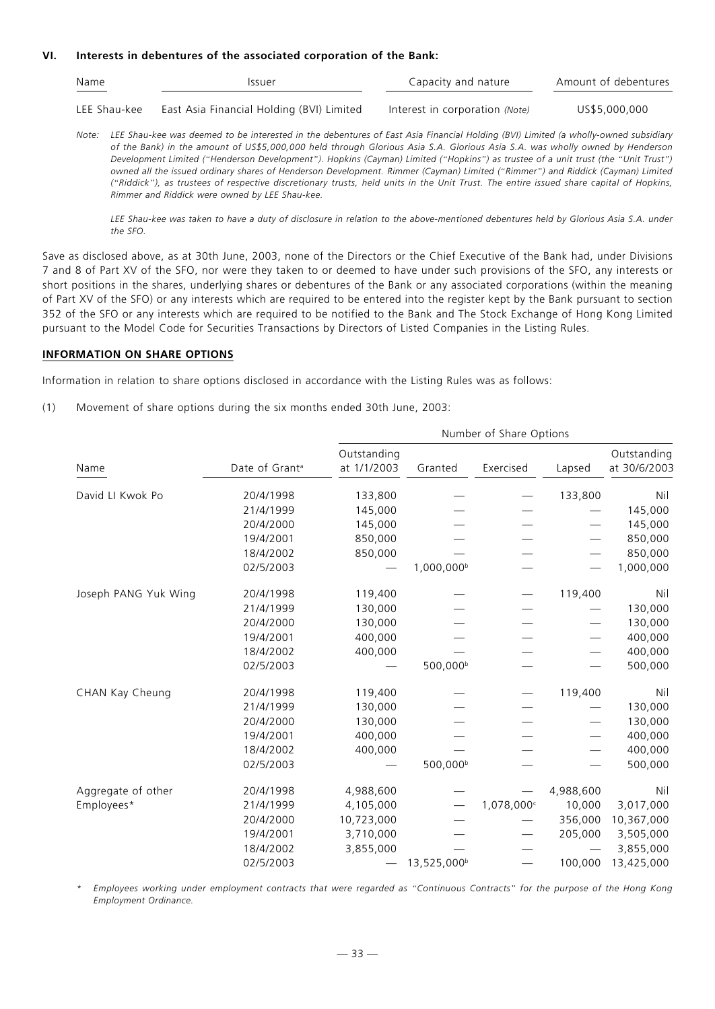#### **VI. Interests in debentures of the associated corporation of the Bank:**

| Name<br>Issuer |                                           | Capacity and nature            | Amount of debentures |  |
|----------------|-------------------------------------------|--------------------------------|----------------------|--|
| LEE Shau-kee   | East Asia Financial Holding (BVI) Limited | Interest in corporation (Note) | US\$5,000,000        |  |

*Note: LEE Shau-kee was deemed to be interested in the debentures of East Asia Financial Holding (BVI) Limited (a wholly-owned subsidiary of the Bank) in the amount of US\$5,000,000 held through Glorious Asia S.A. Glorious Asia S.A. was wholly owned by Henderson Development Limited ("Henderson Development"). Hopkins (Cayman) Limited ("Hopkins") as trustee of a unit trust (the "Unit Trust") owned all the issued ordinary shares of Henderson Development. Rimmer (Cayman) Limited ("Rimmer") and Riddick (Cayman) Limited ("Riddick"), as trustees of respective discretionary trusts, held units in the Unit Trust. The entire issued share capital of Hopkins, Rimmer and Riddick were owned by LEE Shau-kee.*

*LEE Shau-kee was taken to have a duty of disclosure in relation to the above-mentioned debentures held by Glorious Asia S.A. under the SFO.*

Save as disclosed above, as at 30th June, 2003, none of the Directors or the Chief Executive of the Bank had, under Divisions 7 and 8 of Part XV of the SFO, nor were they taken to or deemed to have under such provisions of the SFO, any interests or short positions in the shares, underlying shares or debentures of the Bank or any associated corporations (within the meaning of Part XV of the SFO) or any interests which are required to be entered into the register kept by the Bank pursuant to section 352 of the SFO or any interests which are required to be notified to the Bank and The Stock Exchange of Hong Kong Limited pursuant to the Model Code for Securities Transactions by Directors of Listed Companies in the Listing Rules.

## **INFORMATION ON SHARE OPTIONS**

Information in relation to share options disclosed in accordance with the Listing Rules was as follows:

(1) Movement of share options during the six months ended 30th June, 2003:

|                      |                            | Number of Share Options    |                         |           |           |                             |
|----------------------|----------------------------|----------------------------|-------------------------|-----------|-----------|-----------------------------|
| Name                 | Date of Grant <sup>a</sup> | Outstanding<br>at 1/1/2003 | Granted                 | Exercised | Lapsed    | Outstanding<br>at 30/6/2003 |
| David LI Kwok Po     | 20/4/1998                  | 133,800                    |                         |           | 133,800   | Nil                         |
|                      | 21/4/1999                  | 145,000                    |                         |           |           | 145,000                     |
|                      | 20/4/2000                  | 145,000                    |                         |           |           | 145,000                     |
|                      | 19/4/2001                  | 850,000                    |                         |           |           | 850,000                     |
|                      | 18/4/2002                  | 850,000                    |                         |           |           | 850,000                     |
|                      | 02/5/2003                  |                            | 1,000,000 <sup>b</sup>  |           |           | 1,000,000                   |
| Joseph PANG Yuk Wing | 20/4/1998                  | 119,400                    |                         |           | 119,400   | Nil                         |
|                      | 21/4/1999                  | 130,000                    |                         |           |           | 130,000                     |
|                      | 20/4/2000                  | 130,000                    |                         |           |           | 130,000                     |
|                      | 19/4/2001                  | 400,000                    |                         |           |           | 400,000                     |
|                      | 18/4/2002                  | 400,000                    |                         |           |           | 400,000                     |
|                      | 02/5/2003                  |                            | 500,000 <sup>b</sup>    |           |           | 500,000                     |
| CHAN Kay Cheung      | 20/4/1998                  | 119,400                    |                         |           | 119,400   | Nil                         |
|                      | 21/4/1999                  | 130,000                    |                         |           |           | 130,000                     |
|                      | 20/4/2000                  | 130,000                    |                         |           |           | 130,000                     |
|                      | 19/4/2001                  | 400,000                    |                         |           |           | 400,000                     |
|                      | 18/4/2002                  | 400,000                    |                         |           |           | 400,000                     |
|                      | 02/5/2003                  |                            | 500,000 <sup>b</sup>    |           |           | 500,000                     |
| Aggregate of other   | 20/4/1998                  | 4,988,600                  |                         |           | 4,988,600 | Nil                         |
| Employees*           | 21/4/1999                  | 4,105,000                  |                         | 1,078,000 | 10,000    | 3,017,000                   |
|                      | 20/4/2000                  | 10,723,000                 |                         |           | 356,000   | 10,367,000                  |
|                      | 19/4/2001                  | 3,710,000                  |                         |           | 205,000   | 3,505,000                   |
|                      | 18/4/2002                  | 3,855,000                  |                         |           |           | 3,855,000                   |
|                      | 02/5/2003                  |                            | 13,525,000 <sup>b</sup> |           | 100,000   | 13,425,000                  |

*\* Employees working under employment contracts that were regarded as "Continuous Contracts" for the purpose of the Hong Kong Employment Ordinance.*